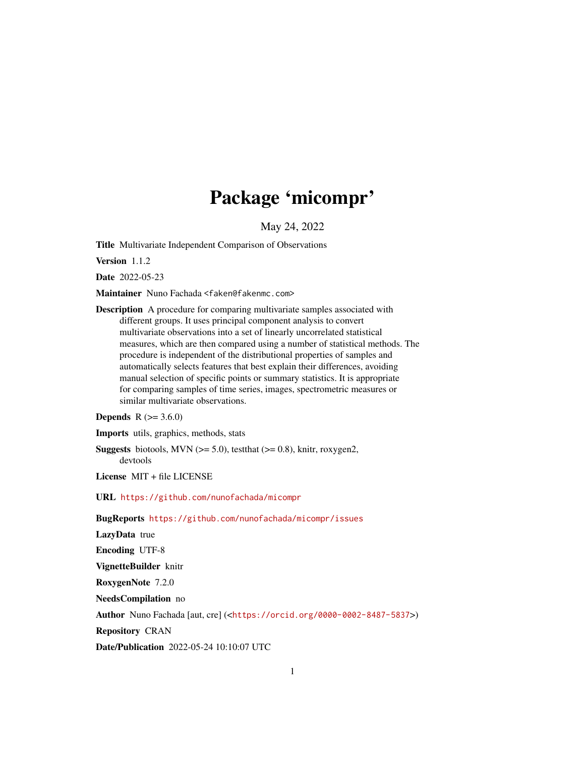# Package 'micompr'

May 24, 2022

<span id="page-0-0"></span>Title Multivariate Independent Comparison of Observations

Version 1.1.2

Date 2022-05-23

Maintainer Nuno Fachada <faken@fakenmc.com>

Description A procedure for comparing multivariate samples associated with different groups. It uses principal component analysis to convert multivariate observations into a set of linearly uncorrelated statistical measures, which are then compared using a number of statistical methods. The procedure is independent of the distributional properties of samples and automatically selects features that best explain their differences, avoiding manual selection of specific points or summary statistics. It is appropriate for comparing samples of time series, images, spectrometric measures or similar multivariate observations.

### **Depends**  $R (= 3.6.0)$

Imports utils, graphics, methods, stats

**Suggests** biotools, MVN  $(>= 5.0)$ , test that  $(>= 0.8)$ , knitr, roxygen2, devtools

License MIT + file LICENSE

URL <https://github.com/nunofachada/micompr>

BugReports <https://github.com/nunofachada/micompr/issues>

LazyData true

Encoding UTF-8

VignetteBuilder knitr

RoxygenNote 7.2.0

NeedsCompilation no

Author Nuno Fachada [aut, cre] (<<https://orcid.org/0000-0002-8487-5837>>)

Repository CRAN

Date/Publication 2022-05-24 10:10:07 UTC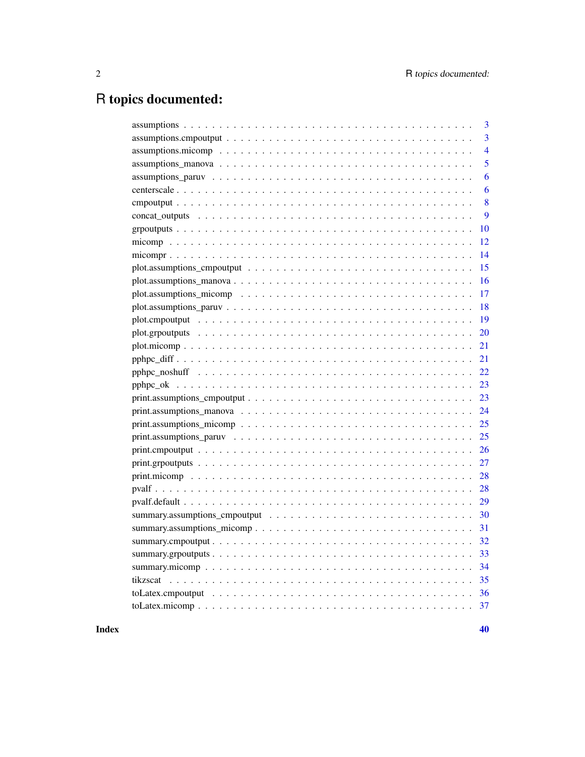# R topics documented:

| 3              |
|----------------|
| 3              |
| $\overline{4}$ |
| 5              |
| 6              |
| 6              |
| 8              |
| 9              |
| 10             |
| 12             |
| 14             |
| 15             |
| 16             |
| 17             |
| 18             |
| 19             |
| 20             |
| 21             |
| 21             |
| 22             |
| 23             |
| 23             |
| 24             |
| 25             |
| 25             |
| 26             |
| 27             |
| 28             |
| 28             |
| 29             |
| 30             |
| 31             |
| 32             |
| 33             |
| 34             |
| 35             |
| 36             |
| 37             |
|                |

 $\blacksquare$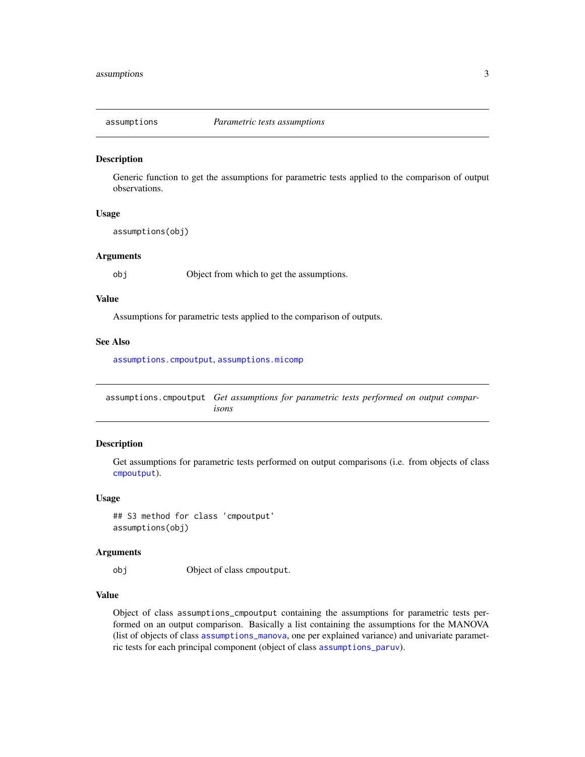<span id="page-2-0"></span>

Generic function to get the assumptions for parametric tests applied to the comparison of output observations.

#### Usage

assumptions(obj)

#### Arguments

obj Object from which to get the assumptions.

#### Value

Assumptions for parametric tests applied to the comparison of outputs.

#### See Also

[assumptions.cmpoutput](#page-2-1), [assumptions.micomp](#page-3-1)

<span id="page-2-1"></span>assumptions.cmpoutput *Get assumptions for parametric tests performed on output comparisons*

#### Description

Get assumptions for parametric tests performed on output comparisons (i.e. from objects of class [cmpoutput](#page-7-1)).

#### Usage

## S3 method for class 'cmpoutput' assumptions(obj)

#### Arguments

obj Object of class cmpoutput.

#### Value

Object of class assumptions\_cmpoutput containing the assumptions for parametric tests performed on an output comparison. Basically a list containing the assumptions for the MANOVA (list of objects of class [assumptions\\_manova](#page-4-1), one per explained variance) and univariate parametric tests for each principal component (object of class [assumptions\\_paruv](#page-5-1)).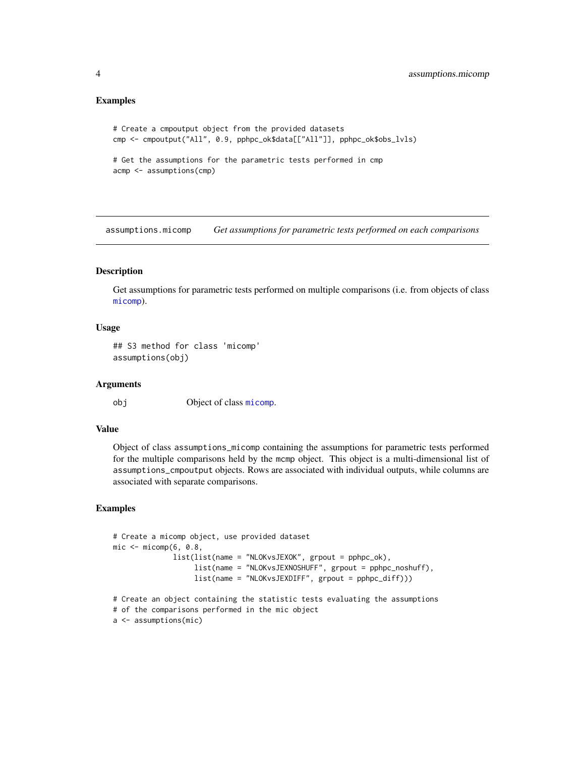#### <span id="page-3-0"></span>Examples

```
# Create a cmpoutput object from the provided datasets
cmp <- cmpoutput("All", 0.9, pphpc_ok$data[["All"]], pphpc_ok$obs_lvls)
# Get the assumptions for the parametric tests performed in cmp
acmp <- assumptions(cmp)
```
<span id="page-3-1"></span>assumptions.micomp *Get assumptions for parametric tests performed on each comparisons*

#### **Description**

Get assumptions for parametric tests performed on multiple comparisons (i.e. from objects of class [micomp](#page-11-1)).

#### Usage

```
## S3 method for class 'micomp'
assumptions(obj)
```
#### Arguments

obj Object of class [micomp](#page-11-1).

#### Value

Object of class assumptions\_micomp containing the assumptions for parametric tests performed for the multiple comparisons held by the mcmp object. This object is a multi-dimensional list of assumptions\_cmpoutput objects. Rows are associated with individual outputs, while columns are associated with separate comparisons.

```
# Create a micomp object, use provided dataset
mic < - micomp(6, 0.8,
              list(list(name = "NLOKvsJEXOK", grpout = pphpc_ok),
                  list(name = "NLOKvsJEXNOSHUFF", grpout = pphpc_noshuff),
                  list(name = "NLOKvsJEXDIFF", grpout = pphpc_diff)))
# Create an object containing the statistic tests evaluating the assumptions
# of the comparisons performed in the mic object
a <- assumptions(mic)
```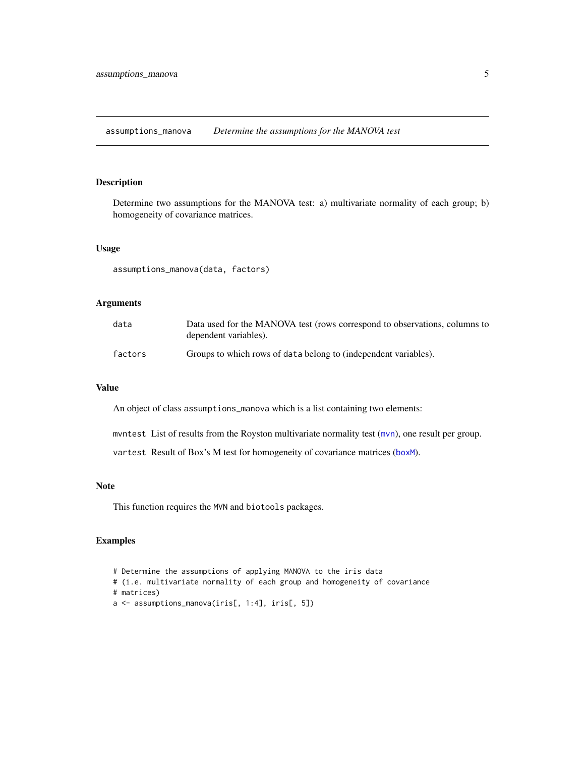<span id="page-4-1"></span><span id="page-4-0"></span>assumptions\_manova *Determine the assumptions for the MANOVA test*

#### Description

Determine two assumptions for the MANOVA test: a) multivariate normality of each group; b) homogeneity of covariance matrices.

#### Usage

assumptions\_manova(data, factors)

#### Arguments

| data    | Data used for the MANOVA test (rows correspond to observations, columns to<br>dependent variables). |
|---------|-----------------------------------------------------------------------------------------------------|
| factors | Groups to which rows of data belong to (independent variables).                                     |

#### Value

An object of class assumptions\_manova which is a list containing two elements:

mvntest List of results from the Royston multivariate normality test ([mvn](#page-0-0)), one result per group.

vartest Result of Box's M test for homogeneity of covariance matrices ([boxM](#page-0-0)).

#### Note

This function requires the MVN and biotools packages.

```
# Determine the assumptions of applying MANOVA to the iris data
# (i.e. multivariate normality of each group and homogeneity of covariance
# matrices)
a <- assumptions_manova(iris[, 1:4], iris[, 5])
```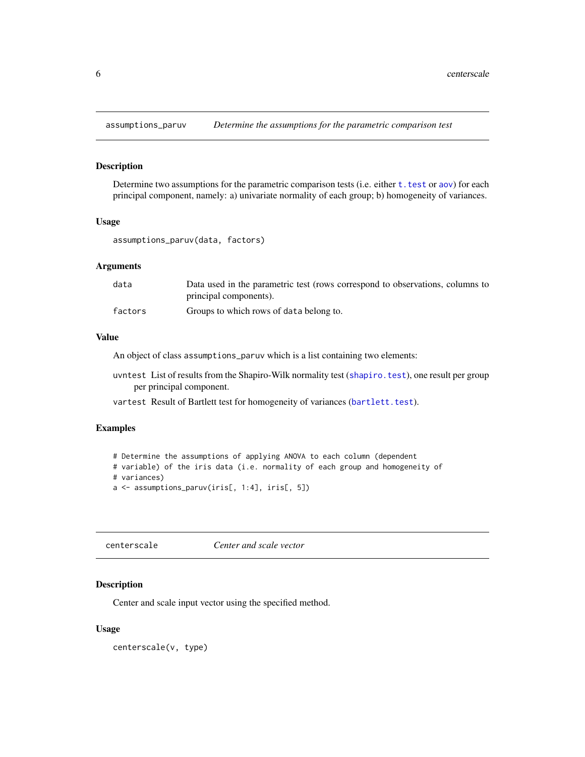<span id="page-5-1"></span><span id="page-5-0"></span>

Determine two assumptions for the parametric comparison tests (i.e. either t. test or [aov](#page-0-0)) for each principal component, namely: a) univariate normality of each group; b) homogeneity of variances.

#### Usage

assumptions\_paruv(data, factors)

#### Arguments

| data    | Data used in the parametric test (rows correspond to observations, columns to |
|---------|-------------------------------------------------------------------------------|
|         | principal components).                                                        |
| factors | Groups to which rows of data belong to.                                       |

#### Value

An object of class assumptions\_paruv which is a list containing two elements:

uvntest List of results from the Shapiro-Wilk normality test ([shapiro.test](#page-0-0)), one result per group per principal component.

vartest Result of Bartlett test for homogeneity of variances ([bartlett.test](#page-0-0)).

#### Examples

```
# Determine the assumptions of applying ANOVA to each column (dependent
# variable) of the iris data (i.e. normality of each group and homogeneity of
# variances)
a <- assumptions_paruv(iris[, 1:4], iris[, 5])
```
<span id="page-5-2"></span>centerscale *Center and scale vector*

#### Description

Center and scale input vector using the specified method.

#### Usage

centerscale(v, type)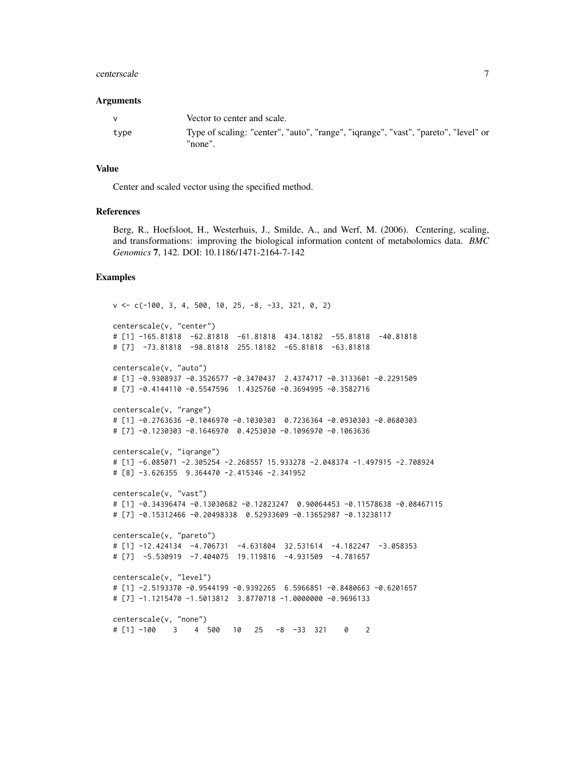#### centerscale 7

#### Arguments

| $\mathbf{v}$ | Vector to center and scale.                                                                    |
|--------------|------------------------------------------------------------------------------------------------|
| type         | Type of scaling: "center", "auto", "range", "iqrange", "vast", "pareto", "level" or<br>"none". |

#### Value

Center and scaled vector using the specified method.

#### References

Berg, R., Hoefsloot, H., Westerhuis, J., Smilde, A., and Werf, M. (2006). Centering, scaling, and transformations: improving the biological information content of metabolomics data. *BMC Genomics* 7, 142. DOI: 10.1186/1471-2164-7-142

```
v <- c(-100, 3, 4, 500, 10, 25, -8, -33, 321, 0, 2)
centerscale(v, "center")
# [1] -165.81818 -62.81818 -61.81818 434.18182 -55.81818 -40.81818
# [7] -73.81818 -98.81818 255.18182 -65.81818 -63.81818
centerscale(v, "auto")
# [1] -0.9308937 -0.3526577 -0.3470437 2.4374717 -0.3133601 -0.2291509
# [7] -0.4144110 -0.5547596 1.4325760 -0.3694995 -0.3582716
centerscale(v, "range")
# [1] -0.2763636 -0.1046970 -0.1030303 0.7236364 -0.0930303 -0.0680303
# [7] -0.1230303 -0.1646970 0.4253030 -0.1096970 -0.1063636
centerscale(v, "iqrange")
# [1] -6.085071 -2.305254 -2.268557 15.933278 -2.048374 -1.497915 -2.708924
# [8] -3.626355 9.364470 -2.415346 -2.341952
centerscale(v, "vast")
# [1] -0.34396474 -0.13030682 -0.12823247 0.90064453 -0.11578638 -0.08467115
# [7] -0.15312466 -0.20498338 0.52933609 -0.13652987 -0.13238117
centerscale(v, "pareto")
# [1] -12.424134 -4.706731 -4.631804 32.531614 -4.182247 -3.058353
# [7] -5.530919 -7.404075 19.119816 -4.931509 -4.781657
centerscale(v, "level")
# [1] -2.5193370 -0.9544199 -0.9392265 6.5966851 -0.8480663 -0.6201657
# [7] -1.1215470 -1.5013812 3.8770718 -1.0000000 -0.9696133
centerscale(v, "none")
# [1] -100 3 4 500 10 25 -8 -33 321 0 2
```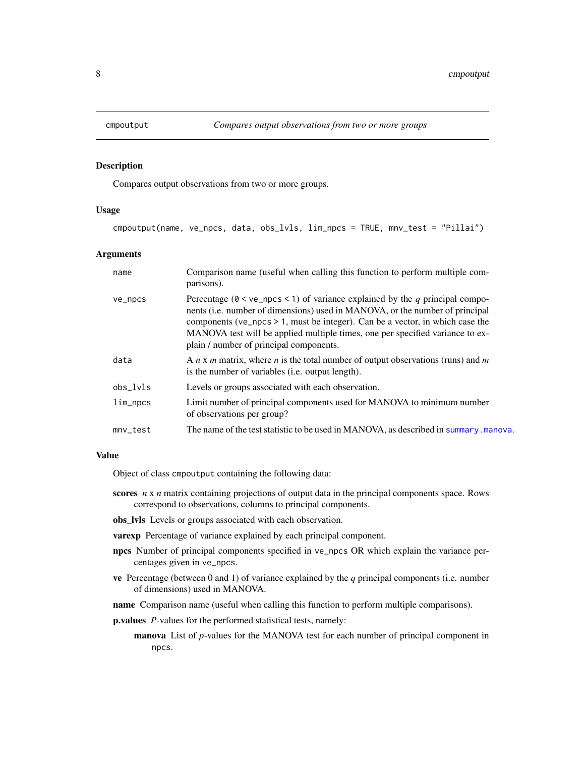<span id="page-7-1"></span><span id="page-7-0"></span>

Compares output observations from two or more groups.

#### Usage

cmpoutput(name, ve\_npcs, data, obs\_lvls, lim\_npcs = TRUE, mnv\_test = "Pillai")

#### Arguments

| name       | Comparison name (useful when calling this function to perform multiple com-<br>parisons).                                                                                                                                                                                                                                                                                        |
|------------|----------------------------------------------------------------------------------------------------------------------------------------------------------------------------------------------------------------------------------------------------------------------------------------------------------------------------------------------------------------------------------|
| ve_npcs    | Percentage ( $0 < ve$ npcs < 1) of variance explained by the q principal compo-<br>nents (i.e. number of dimensions) used in MANOVA, or the number of principal<br>components ( $ve_n$ pcs > 1, must be integer). Can be a vector, in which case the<br>MANOVA test will be applied multiple times, one per specified variance to ex-<br>plain / number of principal components. |
| data       | A $n \times m$ matrix, where n is the total number of output observations (runs) and m<br>is the number of variables ( <i>i.e.</i> output length).                                                                                                                                                                                                                               |
| obs lvls   | Levels or groups associated with each observation.                                                                                                                                                                                                                                                                                                                               |
| $lim_n$    | Limit number of principal components used for MANOVA to minimum number<br>of observations per group?                                                                                                                                                                                                                                                                             |
| $mnv_test$ | The name of the test statistic to be used in MANOVA, as described in summary, manova.                                                                                                                                                                                                                                                                                            |

#### Value

Object of class cmpoutput containing the following data:

- scores *n* x *n* matrix containing projections of output data in the principal components space. Rows correspond to observations, columns to principal components.
- obs\_lvls Levels or groups associated with each observation.
- **varexp** Percentage of variance explained by each principal component.
- npcs Number of principal components specified in ve\_npcs OR which explain the variance percentages given in ve\_npcs.
- ve Percentage (between 0 and 1) of variance explained by the *q* principal components (i.e. number of dimensions) used in MANOVA.
- name Comparison name (useful when calling this function to perform multiple comparisons).
- p.values *P*-values for the performed statistical tests, namely:
	- manova List of *p*-values for the MANOVA test for each number of principal component in npcs.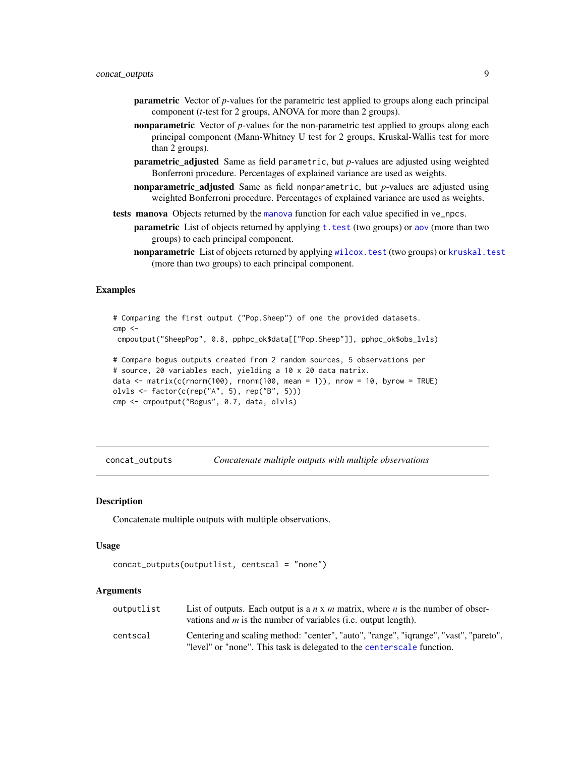- <span id="page-8-0"></span>parametric Vector of *p*-values for the parametric test applied to groups along each principal component (*t*-test for 2 groups, ANOVA for more than 2 groups).
- nonparametric Vector of *p*-values for the non-parametric test applied to groups along each principal component (Mann-Whitney U test for 2 groups, Kruskal-Wallis test for more than 2 groups).
- parametric\_adjusted Same as field parametric, but *p*-values are adjusted using weighted Bonferroni procedure. Percentages of explained variance are used as weights.
- nonparametric\_adjusted Same as field nonparametric, but *p*-values are adjusted using weighted Bonferroni procedure. Percentages of explained variance are used as weights.
- tests [manova](#page-0-0) Objects returned by the manova function for each value specified in ve\_npcs.
	- **parametric** List of objects returned by applying t, test (two groups) or [aov](#page-0-0) (more than two groups) to each principal component.
	- nonparametric List of objects returned by applying [wilcox.test](#page-0-0) (two groups) or [kruskal.test](#page-0-0) (more than two groups) to each principal component.

#### Examples

```
# Comparing the first output ("Pop.Sheep") of one the provided datasets.
cmp < -cmpoutput("SheepPop", 0.8, pphpc_ok$data[["Pop.Sheep"]], pphpc_ok$obs_lvls)
# Compare bogus outputs created from 2 random sources, 5 observations per
# source, 20 variables each, yielding a 10 x 20 data matrix.
data \leq matrix(c(rnorm(100), rnorm(100, mean = 1)), nrow = 10, byrow = TRUE)
olvls <- factor(c(rep("A", 5), rep("B", 5)))
cmp <- cmpoutput("Bogus", 0.7, data, olvls)
```
concat\_outputs *Concatenate multiple outputs with multiple observations*

#### **Description**

Concatenate multiple outputs with multiple observations.

#### Usage

```
concat_outputs(outputlist, centscal = "none")
```
#### Arguments

| outputlist | List of outputs. Each output is a $n \times m$ matrix, where n is the number of obser-<br>vations and $m$ is the number of variables (i.e. output length).      |
|------------|-----------------------------------------------------------------------------------------------------------------------------------------------------------------|
| centscal   | Centering and scaling method: "center", "auto", "range", "iqrange", "vast", "pareto",<br>"level" or "none". This task is delegated to the centerscale function. |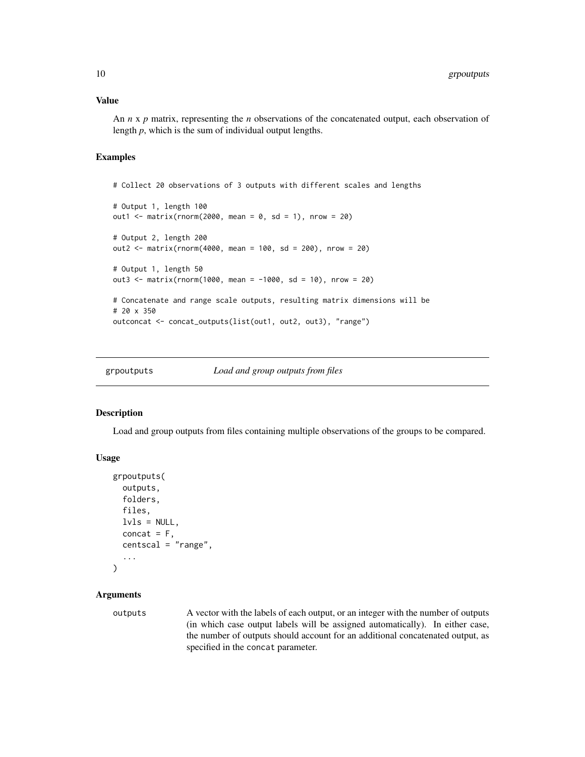#### <span id="page-9-0"></span>Value

An *n* x *p* matrix, representing the *n* observations of the concatenated output, each observation of length *p*, which is the sum of individual output lengths.

#### Examples

```
# Collect 20 observations of 3 outputs with different scales and lengths
# Output 1, length 100
out1 <- matrix(rnorm(2000, mean = 0, sd = 1), nrow = 20)
# Output 2, length 200
out2 <- matrix(rnorm(4000, mean = 100, sd = 200), nrow = 20)
# Output 1, length 50
out3 <- matrix(rnorm(1000, mean = -1000, sd = 10), nrow = 20)
# Concatenate and range scale outputs, resulting matrix dimensions will be
# 20 x 350
outconcat <- concat_outputs(list(out1, out2, out3), "range")
```
<span id="page-9-1"></span>

grpoutputs *Load and group outputs from files*

#### Description

Load and group outputs from files containing multiple observations of the groups to be compared.

#### Usage

```
grpoutputs(
  outputs,
  folders,
  files,
  lvls = NULL,concat = F,
  centscal = "range",
  ...
)
```
#### Arguments

outputs A vector with the labels of each output, or an integer with the number of outputs (in which case output labels will be assigned automatically). In either case, the number of outputs should account for an additional concatenated output, as specified in the concat parameter.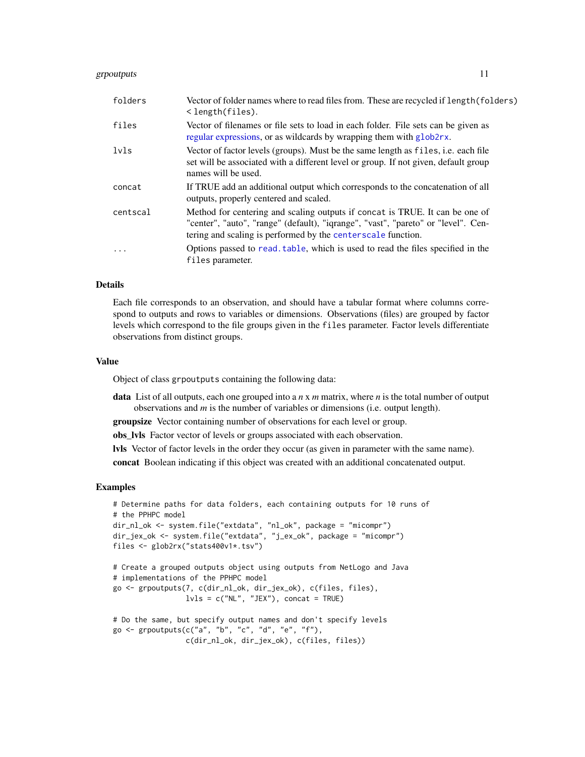#### <span id="page-10-0"></span>grpoutputs 11

| folders   | Vector of folder names where to read files from. These are recycled if length (folders)<br>$\langle$ length(files).                                                                                                               |
|-----------|-----------------------------------------------------------------------------------------------------------------------------------------------------------------------------------------------------------------------------------|
| files     | Vector of filenames or file sets to load in each folder. File sets can be given as<br>regular expressions, or as wildcards by wrapping them with glob2rx.                                                                         |
| lvls      | Vector of factor levels (groups). Must be the same length as files, <i>i.e.</i> each file<br>set will be associated with a different level or group. If not given, default group<br>names will be used.                           |
| concat    | If TRUE add an additional output which corresponds to the concatenation of all<br>outputs, properly centered and scaled.                                                                                                          |
| centscal  | Method for centering and scaling outputs if concat is TRUE. It can be one of<br>"center", "auto", "range" (default), "iqrange", "vast", "pareto" or "level". Cen-<br>tering and scaling is performed by the centerscale function. |
| $\ddotsc$ | Options passed to read, table, which is used to read the files specified in the<br>files parameter.                                                                                                                               |

#### Details

Each file corresponds to an observation, and should have a tabular format where columns correspond to outputs and rows to variables or dimensions. Observations (files) are grouped by factor levels which correspond to the file groups given in the files parameter. Factor levels differentiate observations from distinct groups.

#### Value

Object of class grpoutputs containing the following data:

- data List of all outputs, each one grouped into a *n* x *m* matrix, where *n* is the total number of output observations and *m* is the number of variables or dimensions (i.e. output length).
- groupsize Vector containing number of observations for each level or group.
- obs\_lvls Factor vector of levels or groups associated with each observation.

lvls Vector of factor levels in the order they occur (as given in parameter with the same name).

concat Boolean indicating if this object was created with an additional concatenated output.

```
# Determine paths for data folders, each containing outputs for 10 runs of
# the PPHPC model
dir_nl_ok <- system.file("extdata", "nl_ok", package = "micompr")
dir_jex_ok <- system.file("extdata", "j_ex_ok", package = "micompr")
files <- glob2rx("stats400v1*.tsv")
# Create a grouped outputs object using outputs from NetLogo and Java
# implementations of the PPHPC model
go <- grpoutputs(7, c(dir_nl_ok, dir_jex_ok), c(files, files),
                 lvls = c("NL", "JEX"), concat = TRUE)# Do the same, but specify output names and don't specify levels
```

```
go \leq grpoutputs(c("a", "b", "c", "d", "e", "f"),
                 c(dir_nl_ok, dir_jex_ok), c(files, files))
```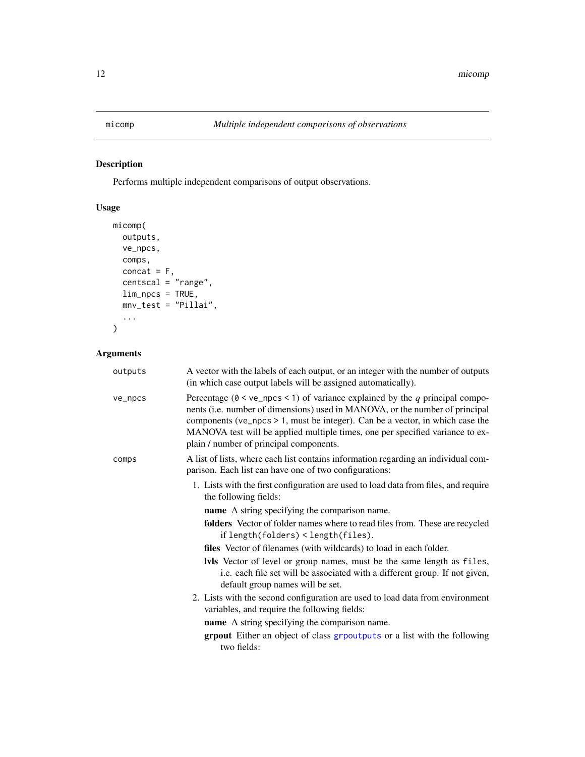<span id="page-11-1"></span><span id="page-11-0"></span>Performs multiple independent comparisons of output observations.

#### Usage

```
micomp(
  outputs,
  ve_npcs,
  comps,
  concat = F,
  centscal = "range",lim_npcs = TRUE,
 mnv_test = "Pillai",
  ...
)
```
### Arguments

| outputs | A vector with the labels of each output, or an integer with the number of outputs<br>(in which case output labels will be assigned automatically).                                                                                                                                                                                                                               |  |
|---------|----------------------------------------------------------------------------------------------------------------------------------------------------------------------------------------------------------------------------------------------------------------------------------------------------------------------------------------------------------------------------------|--|
| ve_npcs | Percentage ( $0 < ve$ npcs < 1) of variance explained by the q principal compo-<br>nents (i.e. number of dimensions) used in MANOVA, or the number of principal<br>components ( $ve_n$ pcs > 1, must be integer). Can be a vector, in which case the<br>MANOVA test will be applied multiple times, one per specified variance to ex-<br>plain / number of principal components. |  |
| comps   | A list of lists, where each list contains information regarding an individual com-<br>parison. Each list can have one of two configurations:                                                                                                                                                                                                                                     |  |
|         | 1. Lists with the first configuration are used to load data from files, and require<br>the following fields:                                                                                                                                                                                                                                                                     |  |
|         | name A string specifying the comparison name.                                                                                                                                                                                                                                                                                                                                    |  |
|         | folders Vector of folder names where to read files from. These are recycled<br>if length(folders) < length(files).                                                                                                                                                                                                                                                               |  |
|         | files Vector of filenames (with wildcards) to load in each folder.                                                                                                                                                                                                                                                                                                               |  |
|         | <b>Ivls</b> Vector of level or group names, must be the same length as files,<br>i.e. each file set will be associated with a different group. If not given,<br>default group names will be set.                                                                                                                                                                                 |  |
|         | 2. Lists with the second configuration are used to load data from environment<br>variables, and require the following fields:                                                                                                                                                                                                                                                    |  |
|         | <b>name</b> A string specifying the comparison name.                                                                                                                                                                                                                                                                                                                             |  |
|         | <b>grpout</b> Either an object of class grpoutputs or a list with the following<br>two fields:                                                                                                                                                                                                                                                                                   |  |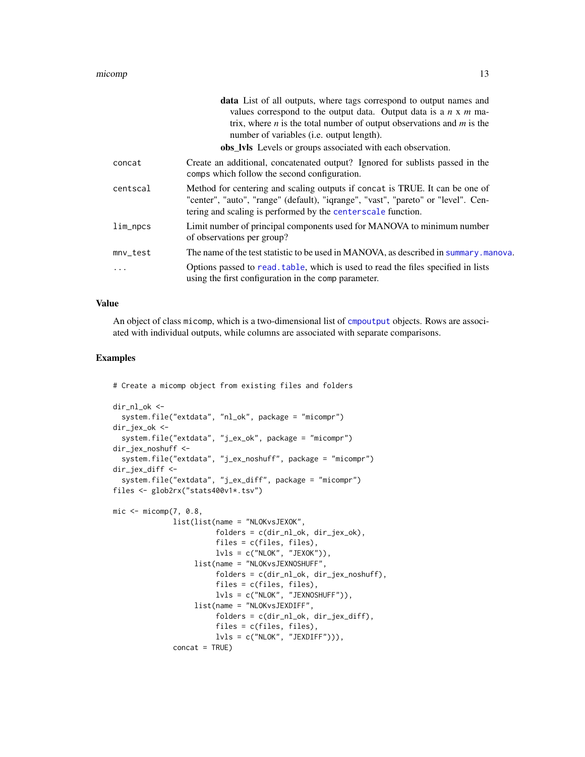#### <span id="page-12-0"></span>micomp and the state of the state of the state of the state of the state of the state of the state of the state of the state of the state of the state of the state of the state of the state of the state of the state of the

|            | data List of all outputs, where tags correspond to output names and<br>values correspond to the output data. Output data is a $n \times m$ ma-<br>trix, where $n$ is the total number of output observations and $m$ is the<br>number of variables ( <i>i.e.</i> output length).<br>obs_lvls Levels or groups associated with each observation. |
|------------|-------------------------------------------------------------------------------------------------------------------------------------------------------------------------------------------------------------------------------------------------------------------------------------------------------------------------------------------------|
| concat     | Create an additional, concatenated output? Ignored for sublists passed in the<br>comps which follow the second configuration.                                                                                                                                                                                                                   |
| centscal   | Method for centering and scaling outputs if concat is TRUE. It can be one of<br>"center", "auto", "range" (default), "iqrange", "vast", "pareto" or "level". Cen-<br>tering and scaling is performed by the centerscale function.                                                                                                               |
| lim_npcs   | Limit number of principal components used for MANOVA to minimum number<br>of observations per group?                                                                                                                                                                                                                                            |
| $mnv_test$ | The name of the test statistic to be used in MANOVA, as described in summary manova.                                                                                                                                                                                                                                                            |
| .          | Options passed to read, table, which is used to read the files specified in lists<br>using the first configuration in the comp parameter.                                                                                                                                                                                                       |

#### Value

An object of class micomp, which is a two-dimensional list of [cmpoutput](#page-7-1) objects. Rows are associated with individual outputs, while columns are associated with separate comparisons.

#### Examples

# Create a micomp object from existing files and folders

```
dir_nl_ok <-
  system.file("extdata", "nl_ok", package = "micompr")
dir_jex_ok <-
  system.file("extdata", "j_ex_ok", package = "micompr")
dir_jex_noshuff <-
  system.file("extdata", "j_ex_noshuff", package = "micompr")
dir_jex_diff <-
  system.file("extdata", "j_ex_diff", package = "micompr")
files <- glob2rx("stats400v1*.tsv")
mic <- micomp(7, 0.8,
              list(list(name = "NLOKvsJEXOK",
                        folders = c(dir_nl_ok, dir_jex_ok),
                        files = c(files, files),
                        lvls = c("NLOK", "JEXOK")),
                   list(name = "NLOKvsJEXNOSHUFF",
                        folders = c(dir_nl_ok, dir_jex_noshuff),
                        files = c(files, files),
                        lvls = c("NLOK", "JEXNOSHUFF")),
                   list(name = "NLOKvsJEXDIFF",
                        folders = c(dir_nl_ok, dir_jex_diff),
                        files = c(files, files),
                        lvls = c("NLOK", "JEXDIFF"))),
              concat = TRUE)
```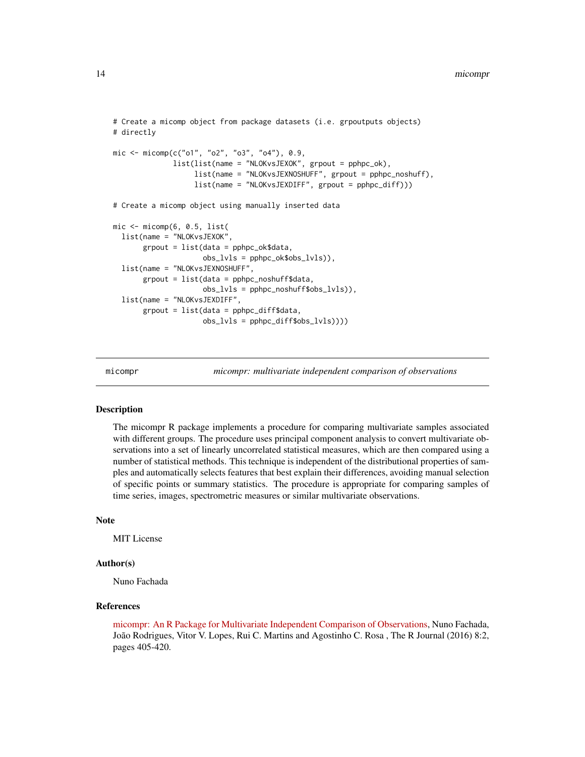```
# Create a micomp object from package datasets (i.e. grpoutputs objects)
# directly
mic <- micomp(c("o1", "o2", "o3", "o4"), 0.9,
              list(list(name = "NLOKvsJEXOK", grpout = pphpc_ok),
                   list(name = "NLOKvsJEXNOSHUFF", grpout = pphpc_noshuff),
                   list(name = "NLOKvsJEXDIFF", grpout = pphpc_diff)))
# Create a micomp object using manually inserted data
mic \leftarrow micomp(6, 0.5, list(list(name = "NLOKvsJEXOK",
       grpout = list(data = pphpc_ok$data,
                     obs_lvls = pphpc_ok$obs_lvls)),
 list(name = "NLOKvsJEXNOSHUFF",
       grpout = list(data = pphpc_noshuff$data,
                     obs_lvls = pphpc_noshuff$obs_lvls)),
 list(name = "NLOKvsJEXDIFF",
       grpout = list(data = pphpc_diff$data,
                     obs_lvls = pphpc_diff$obs_lvls))))
```
micompr *micompr: multivariate independent comparison of observations*

#### Description

The micompr R package implements a procedure for comparing multivariate samples associated with different groups. The procedure uses principal component analysis to convert multivariate observations into a set of linearly uncorrelated statistical measures, which are then compared using a number of statistical methods. This technique is independent of the distributional properties of samples and automatically selects features that best explain their differences, avoiding manual selection of specific points or summary statistics. The procedure is appropriate for comparing samples of time series, images, spectrometric measures or similar multivariate observations.

#### Note

MIT License

#### Author(s)

Nuno Fachada

#### References

[micompr: An R Package for Multivariate Independent Comparison of Observations,](https://journal.r-project.org/archive/2016/RJ-2016-055/index.html) Nuno Fachada, João Rodrigues, Vitor V. Lopes, Rui C. Martins and Agostinho C. Rosa , The R Journal (2016) 8:2, pages 405-420.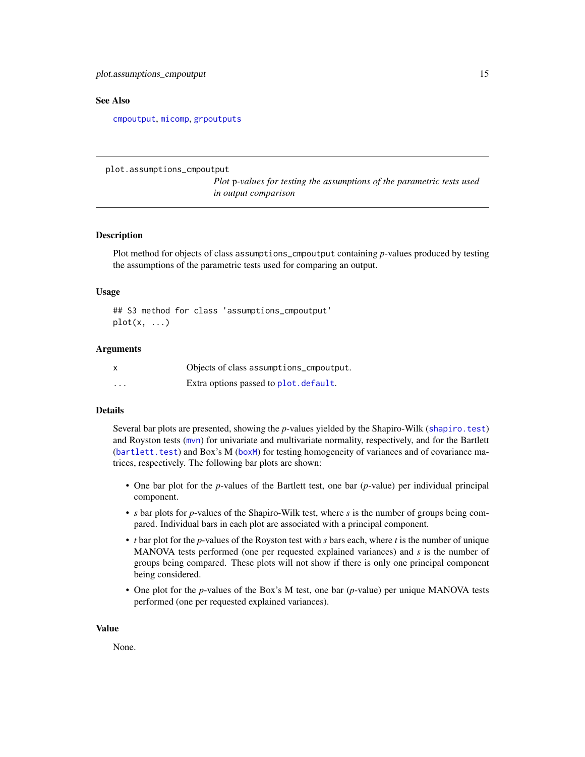#### <span id="page-14-0"></span>See Also

[cmpoutput](#page-7-1), [micomp](#page-11-1), [grpoutputs](#page-9-1)

plot.assumptions\_cmpoutput

*Plot* p*-values for testing the assumptions of the parametric tests used in output comparison*

#### Description

Plot method for objects of class assumptions\_cmpoutput containing *p*-values produced by testing the assumptions of the parametric tests used for comparing an output.

#### Usage

```
## S3 method for class 'assumptions_cmpoutput'
plot(x, \ldots)
```
#### Arguments

|          | Objects of class assumptions_cmpoutput. |
|----------|-----------------------------------------|
| $\cdots$ | Extra options passed to plot. default.  |

#### Details

Several bar plots are presented, showing the *p*-values yielded by the Shapiro-Wilk ([shapiro.test](#page-0-0)) and Royston tests ([mvn](#page-0-0)) for univariate and multivariate normality, respectively, and for the Bartlett ([bartlett.test](#page-0-0)) and Box's M ([boxM](#page-0-0)) for testing homogeneity of variances and of covariance matrices, respectively. The following bar plots are shown:

- One bar plot for the *p*-values of the Bartlett test, one bar (*p*-value) per individual principal component.
- *s* bar plots for *p*-values of the Shapiro-Wilk test, where *s* is the number of groups being compared. Individual bars in each plot are associated with a principal component.
- *t* bar plot for the *p*-values of the Royston test with *s* bars each, where *t* is the number of unique MANOVA tests performed (one per requested explained variances) and *s* is the number of groups being compared. These plots will not show if there is only one principal component being considered.
- One plot for the *p*-values of the Box's M test, one bar (*p*-value) per unique MANOVA tests performed (one per requested explained variances).

#### Value

None.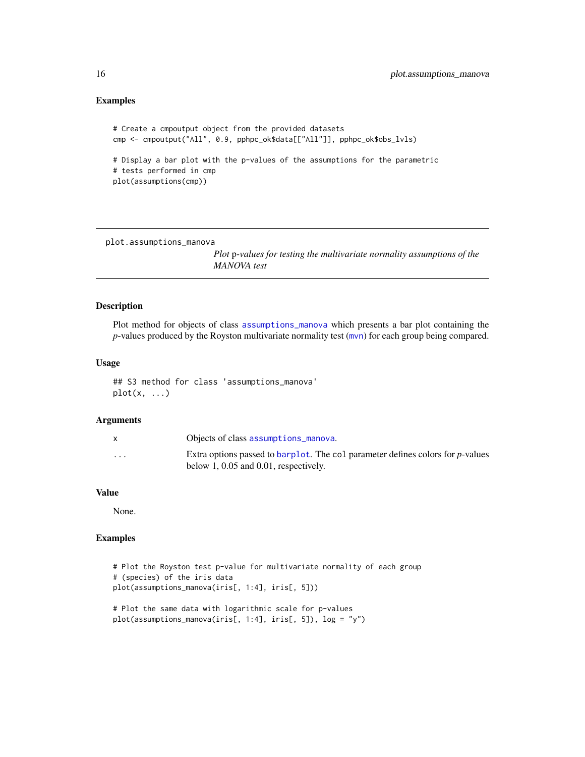#### <span id="page-15-0"></span>Examples

```
# Create a cmpoutput object from the provided datasets
cmp <- cmpoutput("All", 0.9, pphpc_ok$data[["All"]], pphpc_ok$obs_lvls)
# Display a bar plot with the p-values of the assumptions for the parametric
# tests performed in cmp
plot(assumptions(cmp))
```
plot.assumptions\_manova

*Plot* p*-values for testing the multivariate normality assumptions of the MANOVA test*

#### Description

Plot method for objects of class [assumptions\\_manova](#page-4-1) which presents a bar plot containing the *p*-values produced by the Royston multivariate normality test ([mvn](#page-0-0)) for each group being compared.

#### Usage

## S3 method for class 'assumptions\_manova'  $plot(x, \ldots)$ 

#### Arguments

|                      | Objects of class assumptions manova.                                                                                         |
|----------------------|------------------------------------------------------------------------------------------------------------------------------|
| $\ddot{\phantom{0}}$ | Extra options passed to barplot. The col parameter defines colors for p-values<br>below $1, 0.05$ and $0.01$ , respectively. |

#### Value

None.

#### Examples

```
# Plot the Royston test p-value for multivariate normality of each group
# (species) of the iris data
plot(assumptions_manova(iris[, 1:4], iris[, 5]))
# Plot the same data with logarithmic scale for p-values
```
plot(assumptions\_manova(iris[, 1:4], iris[, 5]), log = "y")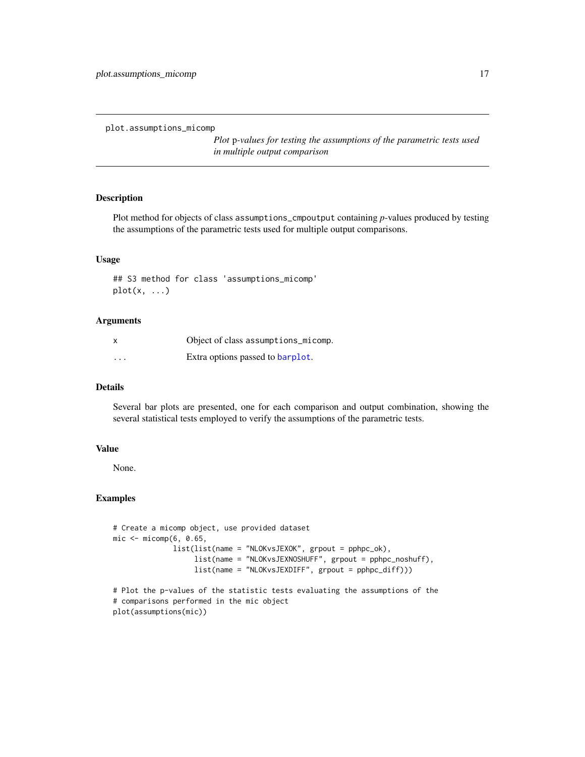<span id="page-16-0"></span>plot.assumptions\_micomp

*Plot* p*-values for testing the assumptions of the parametric tests used in multiple output comparison*

#### Description

Plot method for objects of class assumptions\_cmpoutput containing *p*-values produced by testing the assumptions of the parametric tests used for multiple output comparisons.

#### Usage

## S3 method for class 'assumptions\_micomp'  $plot(x, \ldots)$ 

#### Arguments

| $\boldsymbol{\mathsf{x}}$ | Object of class assumptions_micomp. |
|---------------------------|-------------------------------------|
| $\cdot$                   | Extra options passed to barplot.    |

#### Details

Several bar plots are presented, one for each comparison and output combination, showing the several statistical tests employed to verify the assumptions of the parametric tests.

#### Value

None.

#### Examples

```
# Create a micomp object, use provided dataset
mic \leq -\text{micomp}(6, 0.65,list(list(name = "NLOKvsJEXOK", grpout = pphpc_ok),
                   list(name = "NLOKvsJEXNOSHUFF", grpout = pphpc_noshuff),
                   list(name = "NLOKvsJEXDIFF", grpout = pphpc_diff)))
# Plot the p-values of the statistic tests evaluating the assumptions of the
# comparisons performed in the mic object
```
plot(assumptions(mic))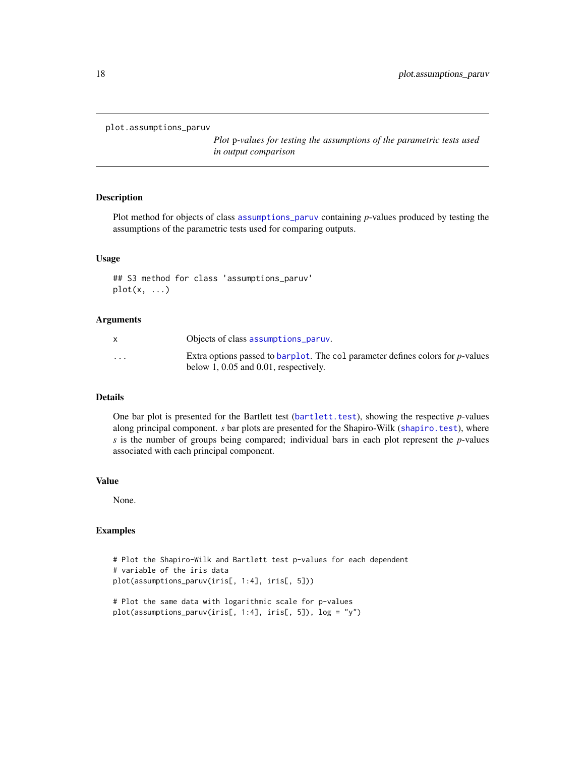```
plot.assumptions_paruv
```
*Plot* p*-values for testing the assumptions of the parametric tests used in output comparison*

#### Description

Plot method for objects of class [assumptions\\_paruv](#page-5-1) containing *p*-values produced by testing the assumptions of the parametric tests used for comparing outputs.

#### Usage

```
## S3 method for class 'assumptions_paruv'
plot(x, \ldots)
```
#### Arguments

|                         | Objects of class assumptions paruv.                                                                                          |
|-------------------------|------------------------------------------------------------------------------------------------------------------------------|
| $\cdot$ $\cdot$ $\cdot$ | Extra options passed to barplot. The col parameter defines colors for p-values<br>below $1, 0.05$ and $0.01$ , respectively. |

#### Details

One bar plot is presented for the Bartlett test ([bartlett.test](#page-0-0)), showing the respective *p*-values along principal component. *s* bar plots are presented for the Shapiro-Wilk ([shapiro.test](#page-0-0)), where *s* is the number of groups being compared; individual bars in each plot represent the *p*-values associated with each principal component.

#### Value

None.

```
# Plot the Shapiro-Wilk and Bartlett test p-values for each dependent
# variable of the iris data
plot(assumptions_paruv(iris[, 1:4], iris[, 5]))
```

```
# Plot the same data with logarithmic scale for p-values
plot(assumptions_paruv(iris[, 1:4], iris[, 5]), log = "y")
```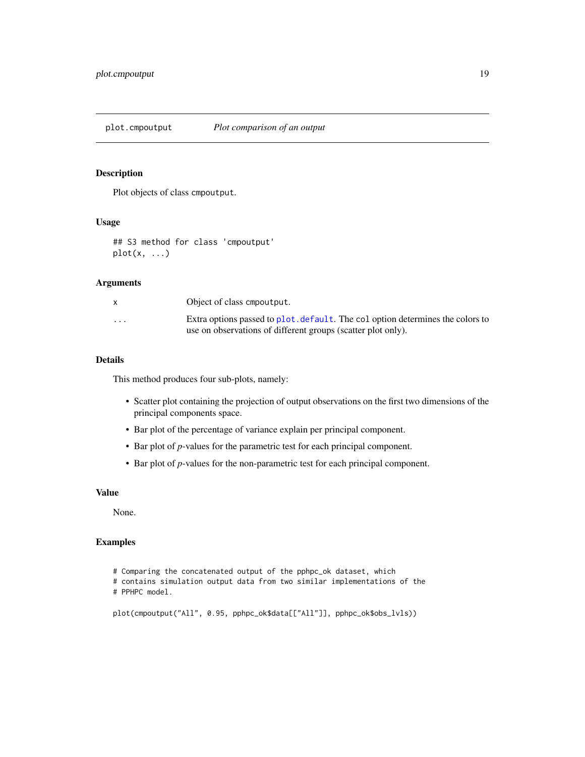<span id="page-18-0"></span>plot.cmpoutput *Plot comparison of an output*

#### Description

Plot objects of class cmpoutput.

#### Usage

## S3 method for class 'cmpoutput'  $plot(x, \ldots)$ 

#### Arguments

|                      | Object of class empoutput.                                                    |
|----------------------|-------------------------------------------------------------------------------|
| $\ddot{\phantom{0}}$ | Extra options passed to plot, default. The coloption determines the colors to |
|                      | use on observations of different groups (scatter plot only).                  |

#### Details

This method produces four sub-plots, namely:

- Scatter plot containing the projection of output observations on the first two dimensions of the principal components space.
- Bar plot of the percentage of variance explain per principal component.
- Bar plot of *p*-values for the parametric test for each principal component.
- Bar plot of *p*-values for the non-parametric test for each principal component.

#### Value

None.

```
# Comparing the concatenated output of the pphpc_ok dataset, which
# contains simulation output data from two similar implementations of the
# PPHPC model.
```

```
plot(cmpoutput("All", 0.95, pphpc_ok$data[["All"]], pphpc_ok$obs_lvls))
```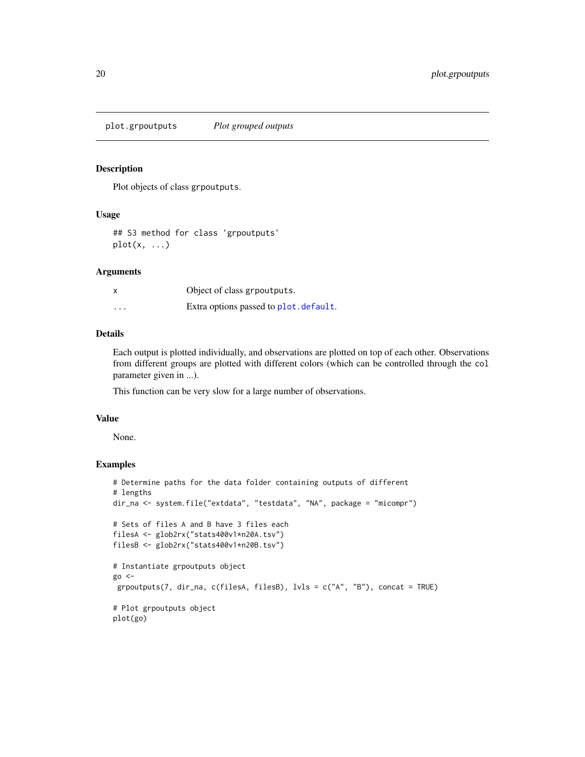<span id="page-19-0"></span>plot.grpoutputs *Plot grouped outputs*

#### Description

Plot objects of class grpoutputs.

#### Usage

## S3 method for class 'grpoutputs'  $plot(x, \ldots)$ 

#### Arguments

| X        | Object of class grpoutputs.            |
|----------|----------------------------------------|
| $\cdots$ | Extra options passed to plot. default. |

#### Details

Each output is plotted individually, and observations are plotted on top of each other. Observations from different groups are plotted with different colors (which can be controlled through the col parameter given in ...).

This function can be very slow for a large number of observations.

#### Value

None.

```
# Determine paths for the data folder containing outputs of different
# lengths
dir_na <- system.file("extdata", "testdata", "NA", package = "micompr")
# Sets of files A and B have 3 files each
filesA <- glob2rx("stats400v1*n20A.tsv")
filesB <- glob2rx("stats400v1*n20B.tsv")
# Instantiate grpoutputs object
go <-
 grpoutputs(7, dir_na, c(filesA, filesB), lvls = c("A", "B"), concat = TRUE)
# Plot grpoutputs object
plot(go)
```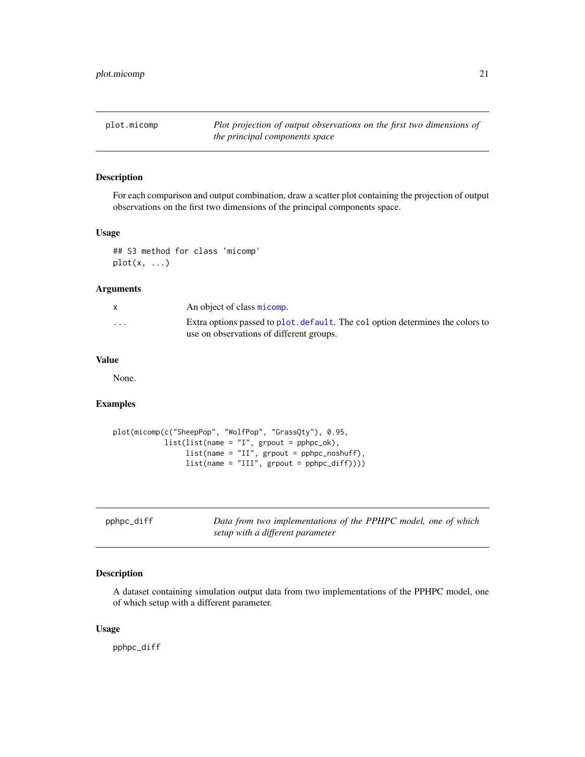<span id="page-20-0"></span>plot.micomp *Plot projection of output observations on the first two dimensions of the principal components space*

#### Description

For each comparison and output combination, draw a scatter plot containing the projection of output observations on the first two dimensions of the principal components space.

#### Usage

## S3 method for class 'micomp' plot(x, ...)

#### Arguments

|                         | An object of class micomp.                                                                                                |
|-------------------------|---------------------------------------------------------------------------------------------------------------------------|
| $\cdot$ $\cdot$ $\cdot$ | Extra options passed to plot, default. The coloption determines the colors to<br>use on observations of different groups. |

#### Value

None.

#### Examples

```
plot(micomp(c("SheepPop", "WolfPop", "GrassQty"), 0.95,
            list(list(name = "I", grpout = pphpc_ok),
                 list(name = "II", grpout = pphpc_noshuff),
                 list(name = "III", growth = pphpc_diff))))
```

| pphpc_diff | Data from two implementations of the PPHPC model, one of which |
|------------|----------------------------------------------------------------|
|            | setup with a different parameter                               |

#### Description

A dataset containing simulation output data from two implementations of the PPHPC model, one of which setup with a different parameter.

#### Usage

pphpc\_diff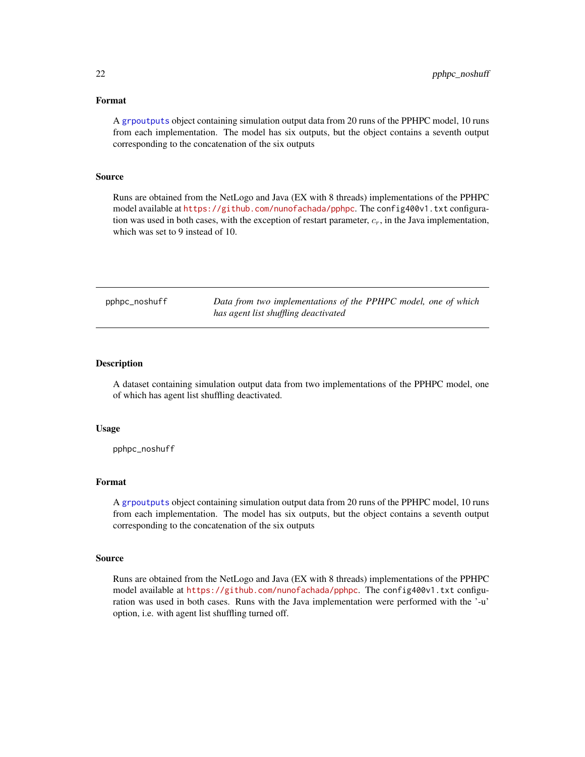#### <span id="page-21-0"></span>Format

A [grpoutputs](#page-9-1) object containing simulation output data from 20 runs of the PPHPC model, 10 runs from each implementation. The model has six outputs, but the object contains a seventh output corresponding to the concatenation of the six outputs

#### Source

Runs are obtained from the NetLogo and Java (EX with 8 threads) implementations of the PPHPC model available at <https://github.com/nunofachada/pphpc>. The config400v1.txt configuration was used in both cases, with the exception of restart parameter,  $c_r$ , in the Java implementation, which was set to 9 instead of 10.

pphpc\_noshuff *Data from two implementations of the PPHPC model, one of which has agent list shuffling deactivated*

#### Description

A dataset containing simulation output data from two implementations of the PPHPC model, one of which has agent list shuffling deactivated.

#### Usage

pphpc\_noshuff

#### Format

A [grpoutputs](#page-9-1) object containing simulation output data from 20 runs of the PPHPC model, 10 runs from each implementation. The model has six outputs, but the object contains a seventh output corresponding to the concatenation of the six outputs

#### Source

Runs are obtained from the NetLogo and Java (EX with 8 threads) implementations of the PPHPC model available at <https://github.com/nunofachada/pphpc>. The config400v1.txt configuration was used in both cases. Runs with the Java implementation were performed with the '-u' option, i.e. with agent list shuffling turned off.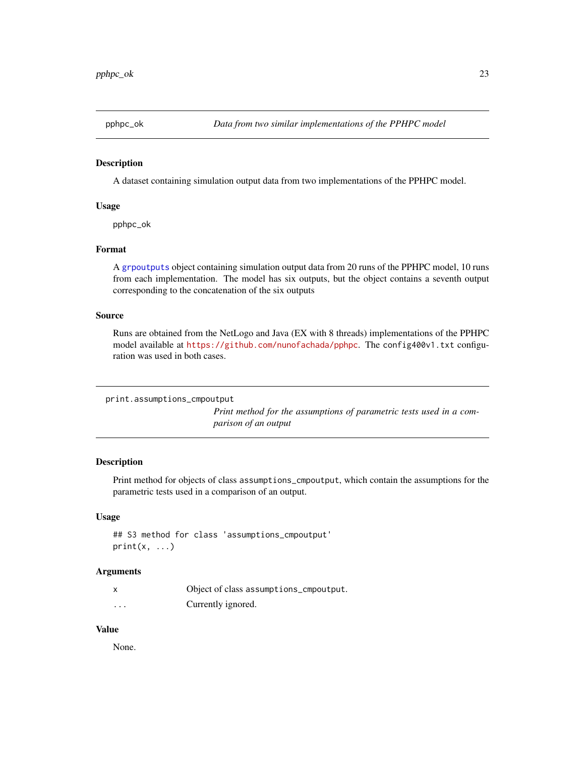<span id="page-22-0"></span>

A dataset containing simulation output data from two implementations of the PPHPC model.

#### Usage

pphpc\_ok

#### Format

A [grpoutputs](#page-9-1) object containing simulation output data from 20 runs of the PPHPC model, 10 runs from each implementation. The model has six outputs, but the object contains a seventh output corresponding to the concatenation of the six outputs

#### Source

Runs are obtained from the NetLogo and Java (EX with 8 threads) implementations of the PPHPC model available at <https://github.com/nunofachada/pphpc>. The config400v1.txt configuration was used in both cases.

print.assumptions\_cmpoutput

*Print method for the assumptions of parametric tests used in a comparison of an output*

#### Description

Print method for objects of class assumptions\_cmpoutput, which contain the assumptions for the parametric tests used in a comparison of an output.

#### Usage

## S3 method for class 'assumptions\_cmpoutput'  $print(x, \ldots)$ 

#### Arguments

| X        | Object of class assumptions_cmpoutput. |
|----------|----------------------------------------|
| $\cdots$ | Currently ignored.                     |

#### Value

None.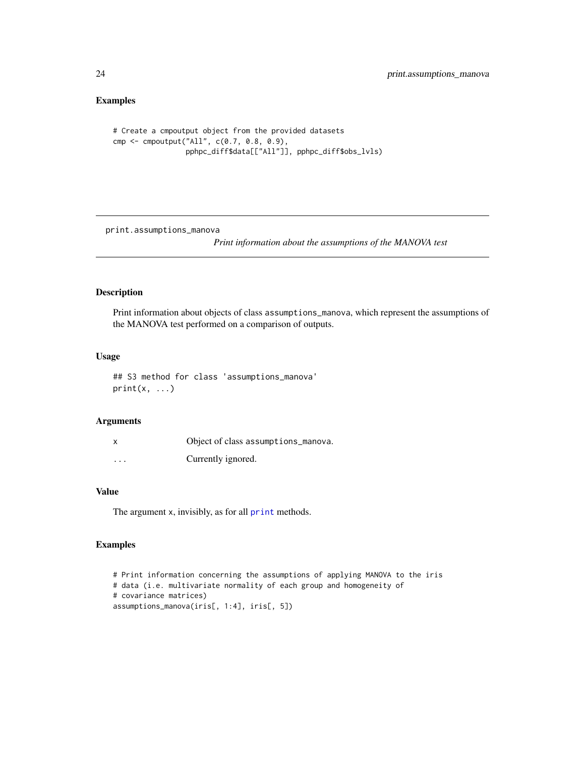#### Examples

```
# Create a cmpoutput object from the provided datasets
cmp <- cmpoutput("All", c(0.7, 0.8, 0.9),
                 pphpc_diff$data[["All"]], pphpc_diff$obs_lvls)
```
print.assumptions\_manova

*Print information about the assumptions of the MANOVA test*

#### Description

Print information about objects of class assumptions\_manova, which represent the assumptions of the MANOVA test performed on a comparison of outputs.

#### Usage

## S3 method for class 'assumptions\_manova'  $print(x, \ldots)$ 

#### Arguments

|          | Object of class assumptions_manova. |
|----------|-------------------------------------|
| $\cdots$ | Currently ignored.                  |

#### Value

The argument x, invisibly, as for all [print](#page-0-0) methods.

```
# Print information concerning the assumptions of applying MANOVA to the iris
# data (i.e. multivariate normality of each group and homogeneity of
# covariance matrices)
assumptions_manova(iris[, 1:4], iris[, 5])
```
<span id="page-23-0"></span>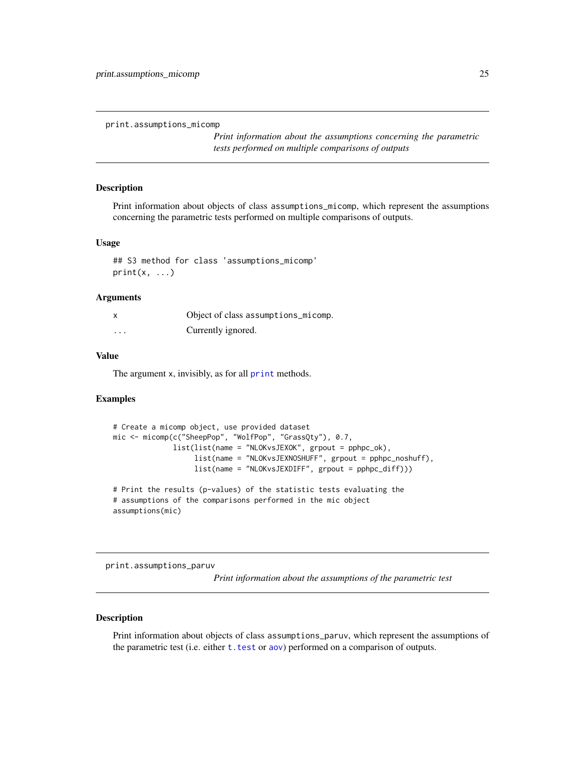<span id="page-24-0"></span>print.assumptions\_micomp

*Print information about the assumptions concerning the parametric tests performed on multiple comparisons of outputs*

#### Description

Print information about objects of class assumptions\_micomp, which represent the assumptions concerning the parametric tests performed on multiple comparisons of outputs.

#### Usage

```
## S3 method for class 'assumptions_micomp'
print(x, \ldots)
```
#### Arguments

| X        | Object of class assumptions_micomp. |
|----------|-------------------------------------|
| $\cdots$ | Currently ignored.                  |

#### Value

The argument x, invisibly, as for all [print](#page-0-0) methods.

#### Examples

```
# Create a micomp object, use provided dataset
mic <- micomp(c("SheepPop", "WolfPop", "GrassQty"), 0.7,
              list(list(name = "NLOKvsJEXOK", grpout = pphpc_ok),
                   list(name = "NLOKvsJEXNOSHUFF", grpout = pphpc_noshuff),
                  list(name = "NLOKvsJEXDIFF", grpout = pphpc_diff)))
# Print the results (p-values) of the statistic tests evaluating the
# assumptions of the comparisons performed in the mic object
assumptions(mic)
```
print.assumptions\_paruv

*Print information about the assumptions of the parametric test*

#### Description

Print information about objects of class assumptions\_paruv, which represent the assumptions of the parametric test (i.e. either t. test or [aov](#page-0-0)) performed on a comparison of outputs.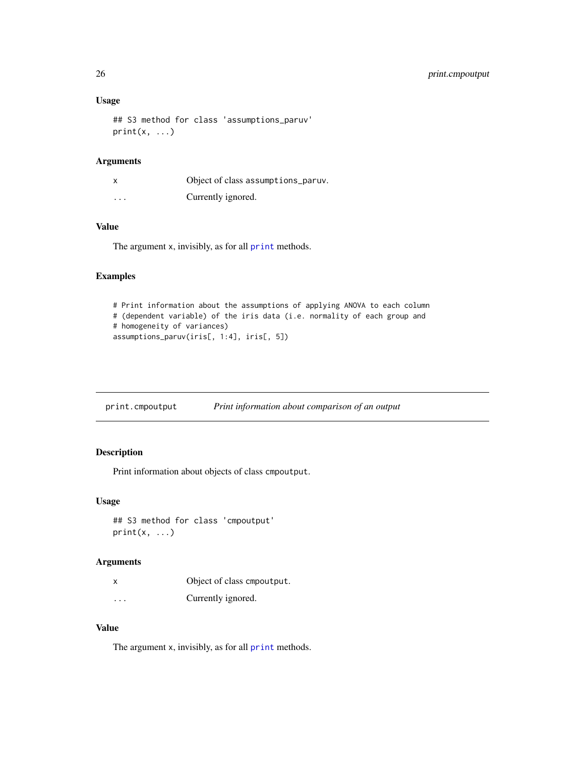#### Usage

```
## S3 method for class 'assumptions_paruv'
print(x, \ldots)
```
#### Arguments

| x        | Object of class assumptions_paruv. |
|----------|------------------------------------|
| $\cdots$ | Currently ignored.                 |

#### Value

The argument x, invisibly, as for all [print](#page-0-0) methods.

#### Examples

```
# Print information about the assumptions of applying ANOVA to each column
# (dependent variable) of the iris data (i.e. normality of each group and
# homogeneity of variances)
assumptions_paruv(iris[, 1:4], iris[, 5])
```
print.cmpoutput *Print information about comparison of an output*

#### Description

Print information about objects of class cmpoutput.

#### Usage

```
## S3 method for class 'cmpoutput'
print(x, \ldots)
```
#### Arguments

|          | Object of class empoutput. |
|----------|----------------------------|
| $\cdots$ | Currently ignored.         |

#### Value

The argument x, invisibly, as for all [print](#page-0-0) methods.

<span id="page-25-0"></span>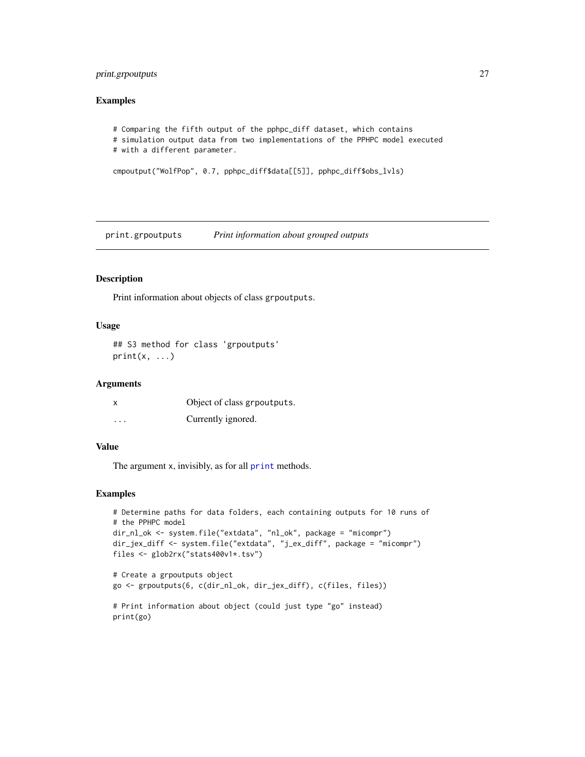#### <span id="page-26-0"></span>print.grpoutputs 27

#### Examples

```
# Comparing the fifth output of the pphpc_diff dataset, which contains
# simulation output data from two implementations of the PPHPC model executed
# with a different parameter.
```

```
cmpoutput("WolfPop", 0.7, pphpc_diff$data[[5]], pphpc_diff$obs_lvls)
```
print.grpoutputs *Print information about grouped outputs*

#### Description

Print information about objects of class grpoutputs.

#### Usage

## S3 method for class 'grpoutputs'  $print(x, \ldots)$ 

#### Arguments

| x                       | Object of class grpoutputs. |
|-------------------------|-----------------------------|
| $\cdot$ $\cdot$ $\cdot$ | Currently ignored.          |

#### Value

The argument x, invisibly, as for all [print](#page-0-0) methods.

```
# Determine paths for data folders, each containing outputs for 10 runs of
# the PPHPC model
dir_nl_ok <- system.file("extdata", "nl_ok", package = "micompr")
dir_jex_diff <- system.file("extdata", "j_ex_diff", package = "micompr")
files <- glob2rx("stats400v1*.tsv")
# Create a grpoutputs object
go <- grpoutputs(6, c(dir_nl_ok, dir_jex_diff), c(files, files))
```

```
# Print information about object (could just type "go" instead)
print(go)
```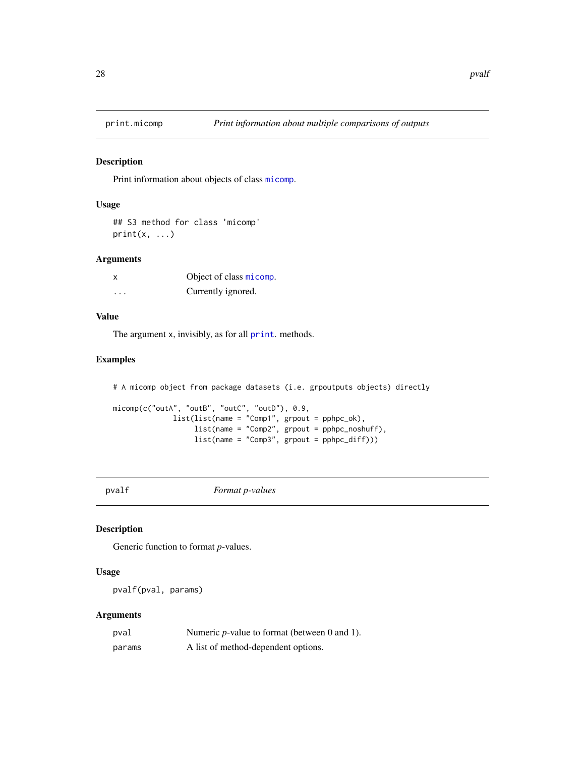<span id="page-27-0"></span>

Print information about objects of class [micomp](#page-11-1).

#### Usage

## S3 method for class 'micomp'  $print(x, \ldots)$ 

#### Arguments

|   | Object of class micomp. |
|---|-------------------------|
| . | Currently ignored.      |

#### Value

The argument x, invisibly, as for all [print](#page-0-0). methods.

#### Examples

```
# A micomp object from package datasets (i.e. grpoutputs objects) directly
micomp(c("outA", "outB", "outC", "outD"), 0.9,
              list(list(name = "Comp1", grpout = pphpc_ok),
                   list(name = "Comp2", grpout = pphpc_noshuff),
                   list(name = "Comp3", grpout = pphpc_diff)))
```
pvalf *Format p-values*

#### Description

Generic function to format *p*-values.

#### Usage

pvalf(pval, params)

#### Arguments

| pval   | Numeric $p$ -value to format (between 0 and 1). |
|--------|-------------------------------------------------|
| params | A list of method-dependent options.             |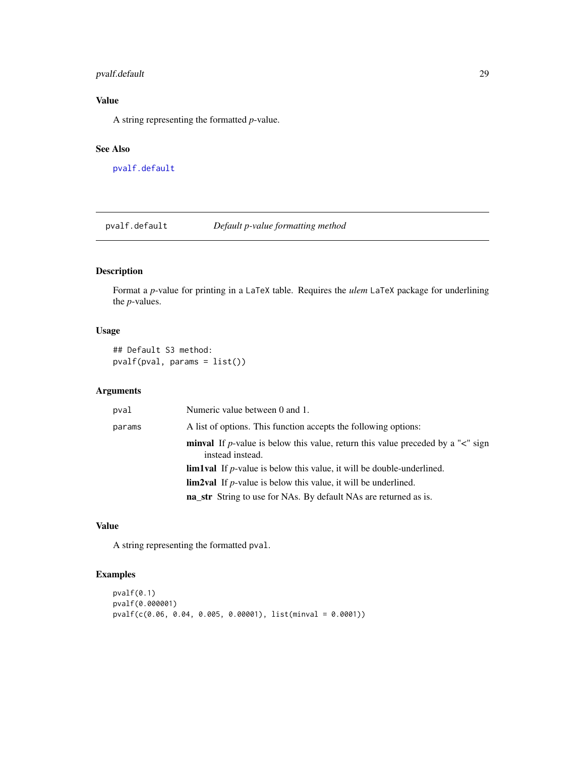#### <span id="page-28-0"></span>pvalf.default 29

#### Value

A string representing the formatted *p*-value.

#### See Also

[pvalf.default](#page-28-1)

<span id="page-28-1"></span>pvalf.default *Default p-value formatting method*

#### Description

Format a *p*-value for printing in a LaTeX table. Requires the *ulem* LaTeX package for underlining the *p*-values.

#### Usage

## Default S3 method: pvalf(pval, params = list())

#### Arguments

| pval   | Numeric value between 0 and 1.                                                                                   |
|--------|------------------------------------------------------------------------------------------------------------------|
| params | A list of options. This function accepts the following options:                                                  |
|        | <b>minval</b> If p-value is below this value, return this value preceded by a " $\lt$ " sign<br>instead instead. |
|        | <b>lim1val</b> If $p$ -value is below this value, it will be double-underlined.                                  |
|        | <b>lim2val</b> If <i>p</i> -value is below this value, it will be underlined.                                    |
|        | <b>na_str</b> String to use for NAs. By default NAs are returned as is.                                          |

### Value

A string representing the formatted pval.

```
pvalf(0.1)
pvalf(0.000001)
pvalf(c(0.06, 0.04, 0.005, 0.00001), list(minval = 0.0001))
```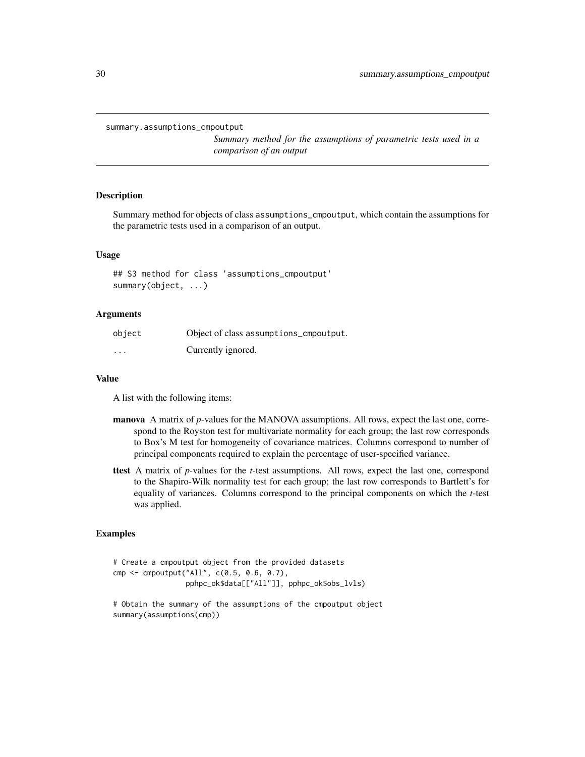```
summary.assumptions_cmpoutput
```
*Summary method for the assumptions of parametric tests used in a comparison of an output*

#### **Description**

Summary method for objects of class assumptions\_cmpoutput, which contain the assumptions for the parametric tests used in a comparison of an output.

#### Usage

## S3 method for class 'assumptions\_cmpoutput' summary(object, ...)

#### Arguments

| object   | Object of class assumptions_cmpoutput. |
|----------|----------------------------------------|
| $\cdots$ | Currently ignored.                     |

#### Value

A list with the following items:

- manova A matrix of *p*-values for the MANOVA assumptions. All rows, expect the last one, correspond to the Royston test for multivariate normality for each group; the last row corresponds to Box's M test for homogeneity of covariance matrices. Columns correspond to number of principal components required to explain the percentage of user-specified variance.
- ttest A matrix of *p*-values for the *t*-test assumptions. All rows, expect the last one, correspond to the Shapiro-Wilk normality test for each group; the last row corresponds to Bartlett's for equality of variances. Columns correspond to the principal components on which the *t*-test was applied.

```
# Create a cmpoutput object from the provided datasets
cmp <- cmpoutput("All", c(0.5, 0.6, 0.7),
                 pphpc_ok$data[["All"]], pphpc_ok$obs_lvls)
```

```
# Obtain the summary of the assumptions of the cmpoutput object
summary(assumptions(cmp))
```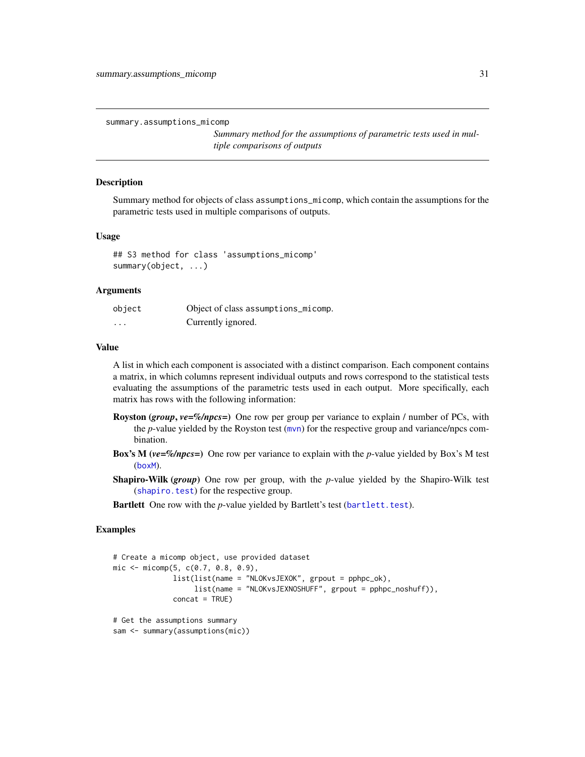<span id="page-30-0"></span>summary.assumptions\_micomp

*Summary method for the assumptions of parametric tests used in multiple comparisons of outputs*

#### Description

Summary method for objects of class assumptions\_micomp, which contain the assumptions for the parametric tests used in multiple comparisons of outputs.

#### Usage

## S3 method for class 'assumptions\_micomp' summary(object, ...)

#### Arguments

| object   | Object of class assumptions_micomp. |
|----------|-------------------------------------|
| $\cdots$ | Currently ignored.                  |

#### Value

A list in which each component is associated with a distinct comparison. Each component contains a matrix, in which columns represent individual outputs and rows correspond to the statistical tests evaluating the assumptions of the parametric tests used in each output. More specifically, each matrix has rows with the following information:

- Royston (*group*, *ve=%/npcs=*) One row per group per variance to explain / number of PCs, with the *p*-value yielded by the Royston test ([mvn](#page-0-0)) for the respective group and variance/npcs combination.
- Box's M (*ve=%/npcs=*) One row per variance to explain with the *p*-value yielded by Box's M test ([boxM](#page-0-0)).
- Shapiro-Wilk (*group*) One row per group, with the *p*-value yielded by the Shapiro-Wilk test ([shapiro.test](#page-0-0)) for the respective group.

Bartlett One row with the *p*-value yielded by Bartlett's test ([bartlett.test](#page-0-0)).

```
# Create a micomp object, use provided dataset
mic \leq micromp(5, c(0.7, 0.8, 0.9)),list(list(name = "NLOKvsJEXOK", grpout = pphpc_ok),
                   list(name = "NLOKvsJEXNOSHUFF", grpout = pphpc_noshuff)),
              concat = TRUE)
# Get the assumptions summary
sam <- summary(assumptions(mic))
```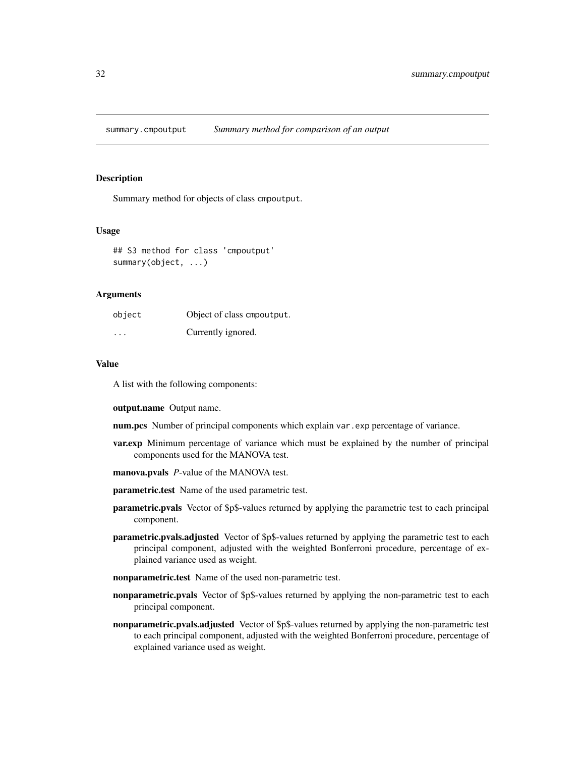<span id="page-31-0"></span>summary.cmpoutput *Summary method for comparison of an output*

#### **Description**

Summary method for objects of class cmpoutput.

#### Usage

## S3 method for class 'cmpoutput' summary(object, ...)

#### Arguments

| object   | Object of class empoutput. |
|----------|----------------------------|
| $\cdots$ | Currently ignored.         |

#### Value

A list with the following components:

#### output.name Output name.

num.pcs Number of principal components which explain var.exp percentage of variance.

- var.exp Minimum percentage of variance which must be explained by the number of principal components used for the MANOVA test.
- manova.pvals *P*-value of the MANOVA test.
- parametric.test Name of the used parametric test.
- parametric.pvals Vector of \$p\$-values returned by applying the parametric test to each principal component.
- **parametric.pvals.adjusted** Vector of \$p\$-values returned by applying the parametric test to each principal component, adjusted with the weighted Bonferroni procedure, percentage of explained variance used as weight.
- nonparametric.test Name of the used non-parametric test.
- **nonparametric.pvals** Vector of \$p\$-values returned by applying the non-parametric test to each principal component.
- nonparametric.pvals.adjusted Vector of \$p\$-values returned by applying the non-parametric test to each principal component, adjusted with the weighted Bonferroni procedure, percentage of explained variance used as weight.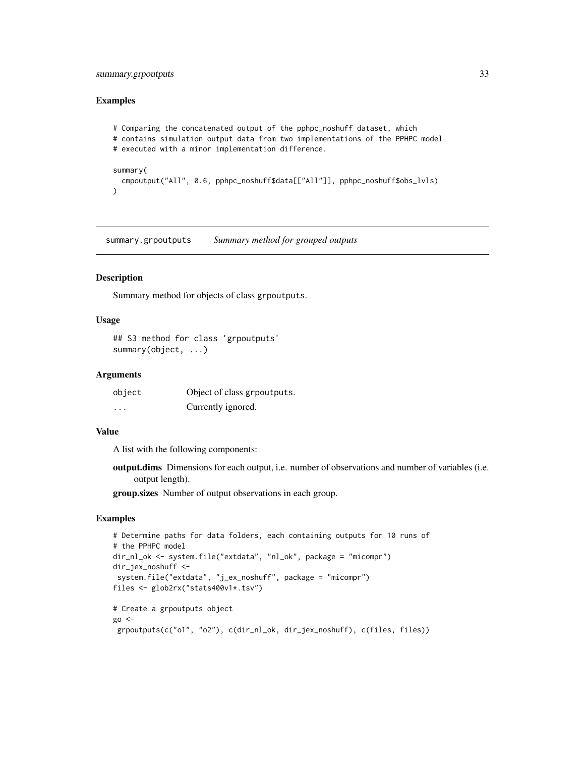#### <span id="page-32-0"></span>summary.grpoutputs 33

#### Examples

```
# Comparing the concatenated output of the pphpc_noshuff dataset, which
# contains simulation output data from two implementations of the PPHPC model
# executed with a minor implementation difference.
summary(
  cmpoutput("All", 0.6, pphpc_noshuff$data[["All"]], pphpc_noshuff$obs_lvls)
)
```
summary.grpoutputs *Summary method for grouped outputs*

#### **Description**

Summary method for objects of class grpoutputs.

#### Usage

```
## S3 method for class 'grpoutputs'
summary(object, ...)
```
#### Arguments

| object  | Object of class grpoutputs. |
|---------|-----------------------------|
| $\cdot$ | Currently ignored.          |

#### Value

A list with the following components:

output.dims Dimensions for each output, i.e. number of observations and number of variables (i.e. output length).

group.sizes Number of output observations in each group.

```
# Determine paths for data folders, each containing outputs for 10 runs of
# the PPHPC model
dir_nl_ok <- system.file("extdata", "nl_ok", package = "micompr")
dir_jex_noshuff <-
system.file("extdata", "j_ex_noshuff", package = "micompr")
files <- glob2rx("stats400v1*.tsv")
# Create a grpoutputs object
go < -grpoutputs(c("o1", "o2"), c(dir_nl_ok, dir_jex_noshuff), c(files, files))
```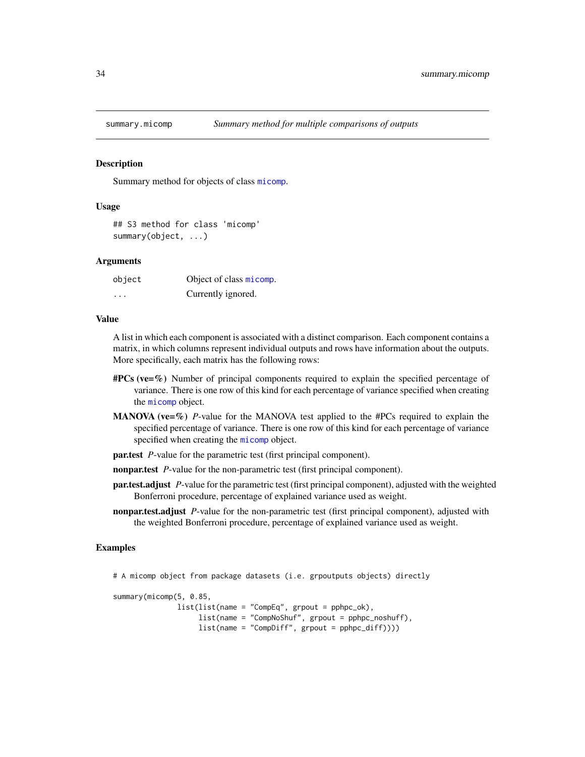<span id="page-33-0"></span>

Summary method for objects of class [micomp](#page-11-1).

#### Usage

```
## S3 method for class 'micomp'
summary(object, ...)
```
#### Arguments

| object | Object of class micomp. |
|--------|-------------------------|
| .      | Currently ignored.      |

#### Value

A list in which each component is associated with a distinct comparison. Each component contains a matrix, in which columns represent individual outputs and rows have information about the outputs. More specifically, each matrix has the following rows:

- $\#PCs$  (ve=%) Number of principal components required to explain the specified percentage of variance. There is one row of this kind for each percentage of variance specified when creating the [micomp](#page-11-1) object.
- **MANOVA** (ve= $\%)$  *P*-value for the MANOVA test applied to the #PCs required to explain the specified percentage of variance. There is one row of this kind for each percentage of variance specified when creating the [micomp](#page-11-1) object.
- par.test *P*-value for the parametric test (first principal component).
- nonpar.test *P*-value for the non-parametric test (first principal component).
- par.test.adjust *P*-value for the parametric test (first principal component), adjusted with the weighted Bonferroni procedure, percentage of explained variance used as weight.
- nonpar.test.adjust *P*-value for the non-parametric test (first principal component), adjusted with the weighted Bonferroni procedure, percentage of explained variance used as weight.

```
# A micomp object from package datasets (i.e. grpoutputs objects) directly
summary(micomp(5, 0.85,
               list(list(name = "CompEq", grpout = pphpc_ok),
                    list(name = "CompNoShuf", grpout = pphpc_noshuff),
                    list(name = "CompDiff", groupout = pphpc_diff)))
```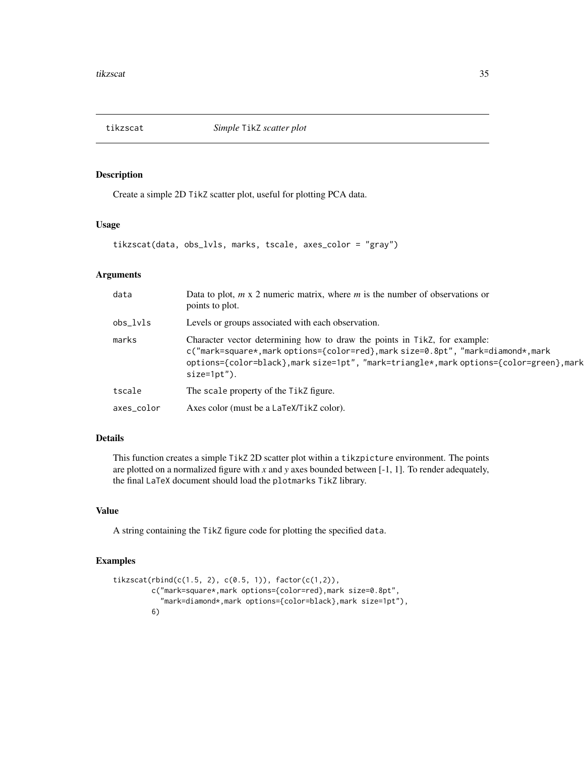<span id="page-34-0"></span>

Create a simple 2D TikZ scatter plot, useful for plotting PCA data.

#### Usage

```
tikzscat(data, obs_lvls, marks, tscale, axes_color = "gray")
```
#### Arguments

| data       | Data to plot, $m \times 2$ numeric matrix, where $m$ is the number of observations or<br>points to plot.                                                                                                                                                               |
|------------|------------------------------------------------------------------------------------------------------------------------------------------------------------------------------------------------------------------------------------------------------------------------|
| obs_lvls   | Levels or groups associated with each observation.                                                                                                                                                                                                                     |
| marks      | Character vector determining how to draw the points in Tikz, for example:<br>c("mark=square*,mark options={color=red},mark size=0.8pt", "mark=diamond*,mark<br>options={color=black},mark size=1pt", "mark=triangle*,mark options={color=green},mark<br>$size=1pt$ "). |
| tscale     | The scale property of the TikZ figure.                                                                                                                                                                                                                                 |
| axes_color | Axes color (must be a LaTeX/TikZ color).                                                                                                                                                                                                                               |

#### Details

This function creates a simple TikZ 2D scatter plot within a tikzpicture environment. The points are plotted on a normalized figure with *x* and *y* axes bounded between [-1, 1]. To render adequately, the final LaTeX document should load the plotmarks TikZ library.

#### Value

A string containing the TikZ figure code for plotting the specified data.

```
tikzscat(rbind(c(1.5, 2), c(0.5, 1)), factor(c(1,2)),c("mark=square*,mark options={color=red},mark size=0.8pt",
           "mark=diamond*,mark options={color=black},mark size=1pt"),
        6)
```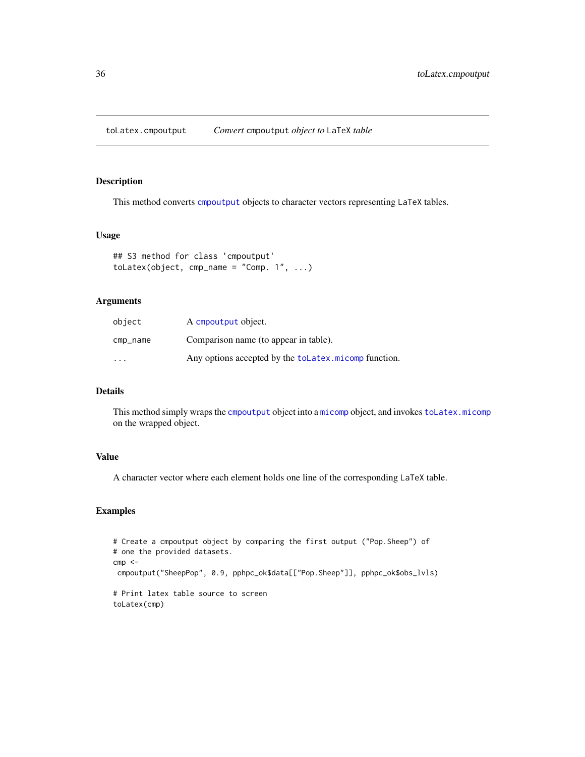<span id="page-35-0"></span>toLatex.cmpoutput *Convert* cmpoutput *object to* LaTeX *table*

#### Description

This method converts [cmpoutput](#page-7-1) objects to character vectors representing LaTeX tables.

#### Usage

```
## S3 method for class 'cmpoutput'
tolates(object, <math>cmp_name = "Comp. 1", ...)</math>)
```
#### Arguments

| object                  | A cmpoutput object.                                   |
|-------------------------|-------------------------------------------------------|
| cmp_name                | Comparison name (to appear in table).                 |
| $\cdot$ $\cdot$ $\cdot$ | Any options accepted by the toLatex, micomp function. |

#### Details

This method simply wraps the [cmpoutput](#page-7-1) object into a [micomp](#page-11-1) object, and invokes [toLatex.micomp](#page-36-1) on the wrapped object.

#### Value

A character vector where each element holds one line of the corresponding LaTeX table.

```
# Create a cmpoutput object by comparing the first output ("Pop.Sheep") of
# one the provided datasets.
cmp < -cmpoutput("SheepPop", 0.9, pphpc_ok$data[["Pop.Sheep"]], pphpc_ok$obs_lvls)
# Print latex table source to screen
toLatex(cmp)
```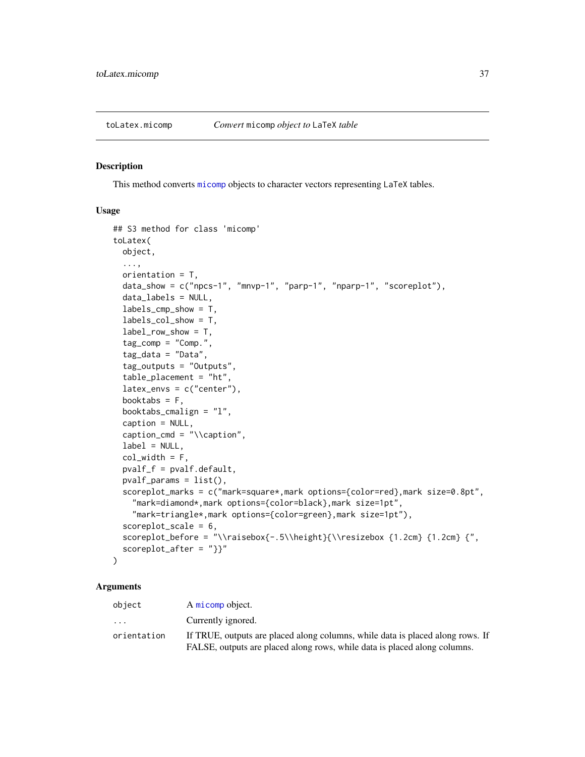<span id="page-36-1"></span><span id="page-36-0"></span>

This method converts [micomp](#page-11-1) objects to character vectors representing LaTeX tables.

#### Usage

```
## S3 method for class 'micomp'
toLatex(
 object,
  ...,
 orientation = T,
  data_show = c("npcs-1", "mnvp-1", "parp-1", "nparp-1", "scoreplot"),
  data_labels = NULL,
  labels_cmp_show = T,
  labels_col_show = T,
  label_row_show = T,
  tag_{comp} = "Comp."tag\_data = "Data",tag_outputs = "Outputs",
  table_placement = "ht",
  latex_envs = c("center"),
  booktabs = F,
 booktabs_cmalign = "l",
  caption = NULL,
  caption_cmd = "\\caption",
  label = NULL,col\_width = F,
  pvalf_f = pvalf.default,
 pvalf_params = list(),
  scoreplot_marks = c("mark=square*,mark options={color=red},mark size=0.8pt",
    "mark=diamond*,mark options={color=black},mark size=1pt",
    "mark=triangle*,mark options={color=green},mark size=1pt"),
  scoreplot_scale = 6,
  scoreplot_before = "\\raisebox{-.5\\height}{\\resizebox {1.2cm} {1.2cm} {",
  scoreplot_after = "}}"
)
```
#### Arguments

| object                  | A micomp object.                                                               |
|-------------------------|--------------------------------------------------------------------------------|
| $\cdot$ $\cdot$ $\cdot$ | Currently ignored.                                                             |
| orientation             | If TRUE, outputs are placed along columns, while data is placed along rows. If |
|                         | FALSE, outputs are placed along rows, while data is placed along columns.      |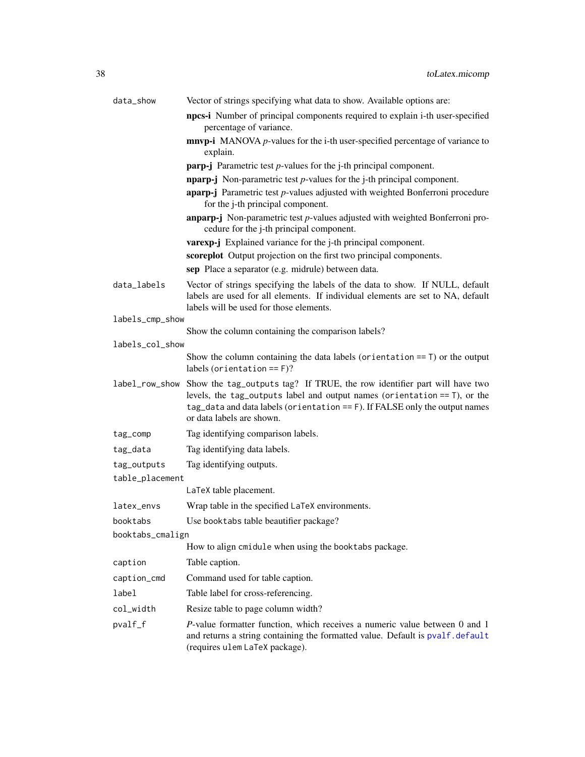<span id="page-37-0"></span>

| data_show        | Vector of strings specifying what data to show. Available options are:                                                                                                                                                                                              |  |
|------------------|---------------------------------------------------------------------------------------------------------------------------------------------------------------------------------------------------------------------------------------------------------------------|--|
|                  | npcs-i Number of principal components required to explain i-th user-specified<br>percentage of variance.                                                                                                                                                            |  |
|                  | $mnp-i$ MANOVA $p$ -values for the i-th user-specified percentage of variance to<br>explain.                                                                                                                                                                        |  |
|                  | <b>parp-j</b> Parametric test $p$ -values for the j-th principal component.                                                                                                                                                                                         |  |
|                  | <b>nparp-j</b> Non-parametric test $p$ -values for the j-th principal component.                                                                                                                                                                                    |  |
|                  | <b>aparp-j</b> Parametric test $p$ -values adjusted with weighted Bonferroni procedure<br>for the j-th principal component.                                                                                                                                         |  |
|                  | $anparp$ -j Non-parametric test $p$ -values adjusted with weighted Bonferroni pro-<br>cedure for the j-th principal component.                                                                                                                                      |  |
|                  | varexp-j Explained variance for the j-th principal component.                                                                                                                                                                                                       |  |
|                  | scoreplot Output projection on the first two principal components.                                                                                                                                                                                                  |  |
|                  | sep Place a separator (e.g. midrule) between data.                                                                                                                                                                                                                  |  |
| data_labels      | Vector of strings specifying the labels of the data to show. If NULL, default<br>labels are used for all elements. If individual elements are set to NA, default<br>labels will be used for those elements.                                                         |  |
| labels_cmp_show  |                                                                                                                                                                                                                                                                     |  |
|                  | Show the column containing the comparison labels?                                                                                                                                                                                                                   |  |
| labels_col_show  |                                                                                                                                                                                                                                                                     |  |
|                  | Show the column containing the data labels (orientation $==$ T) or the output<br>labels (orientation $==$ F)?                                                                                                                                                       |  |
| label_row_show   | Show the tag_outputs tag? If TRUE, the row identifier part will have two<br>levels, the tag_outputs label and output names (orientation $==$ T), or the<br>tag_data and data labels (orientation == F). If FALSE only the output names<br>or data labels are shown. |  |
| tag_comp         | Tag identifying comparison labels.                                                                                                                                                                                                                                  |  |
| tag_data         | Tag identifying data labels.                                                                                                                                                                                                                                        |  |
| tag_outputs      | Tag identifying outputs.                                                                                                                                                                                                                                            |  |
| table_placement  |                                                                                                                                                                                                                                                                     |  |
|                  | LaTeX table placement.                                                                                                                                                                                                                                              |  |
| latex_envs       | Wrap table in the specified LaTeX environments.                                                                                                                                                                                                                     |  |
| booktabs         | Use booktabs table beautifier package?                                                                                                                                                                                                                              |  |
| booktabs_cmalign |                                                                                                                                                                                                                                                                     |  |
|                  | How to align cmidule when using the booktabs package.                                                                                                                                                                                                               |  |
| caption          | Table caption.                                                                                                                                                                                                                                                      |  |
| caption_cmd      | Command used for table caption.                                                                                                                                                                                                                                     |  |
| label            | Table label for cross-referencing.                                                                                                                                                                                                                                  |  |
| col_width        | Resize table to page column width?                                                                                                                                                                                                                                  |  |
| pvalf_f          | P-value formatter function, which receives a numeric value between 0 and 1<br>and returns a string containing the formatted value. Default is pvalf.default<br>(requires ulem LaTeX package).                                                                       |  |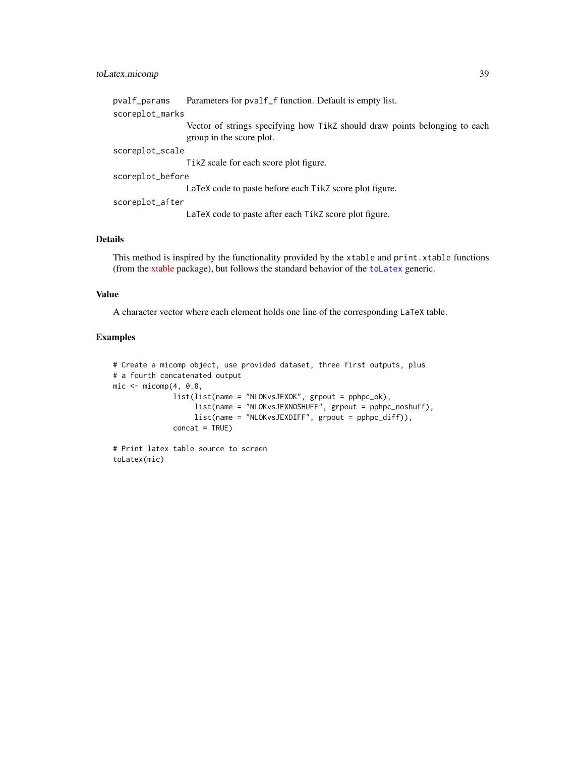#### <span id="page-38-0"></span>toLatex.micomp 39

| pvalf_params     | Parameters for pvalf _f function. Default is empty list.                                               |  |
|------------------|--------------------------------------------------------------------------------------------------------|--|
| scoreplot_marks  |                                                                                                        |  |
|                  | Vector of strings specifying how Tikz should draw points belonging to each<br>group in the score plot. |  |
| scoreplot_scale  |                                                                                                        |  |
|                  | TikZ scale for each score plot figure.                                                                 |  |
| scoreplot_before |                                                                                                        |  |
|                  | LaTeX code to paste before each TikZ score plot figure.                                                |  |
| scoreplot_after  |                                                                                                        |  |
|                  | LaTeX code to paste after each TikZ score plot figure.                                                 |  |
|                  |                                                                                                        |  |

#### Details

This method is inspired by the functionality provided by the xtable and print.xtable functions (from the [xtable](https://cran.r-project.org/package=xtable) package), but follows the standard behavior of the [toLatex](#page-0-0) generic.

#### Value

A character vector where each element holds one line of the corresponding LaTeX table.

```
# Create a micomp object, use provided dataset, three first outputs, plus
# a fourth concatenated output
mic \leftarrow micomp(4, 0.8,list(list(name = "NLOKvsJEXOK", grpout = pphpc_ok),
                   list(name = "NLOKvsJEXNOSHUFF", grpout = pphpc_noshuff),
                   list(name = "NLOKvsJEXDIFF", grpout = pphpc_diff)),
              concat = TRUE)
```

```
# Print latex table source to screen
toLatex(mic)
```